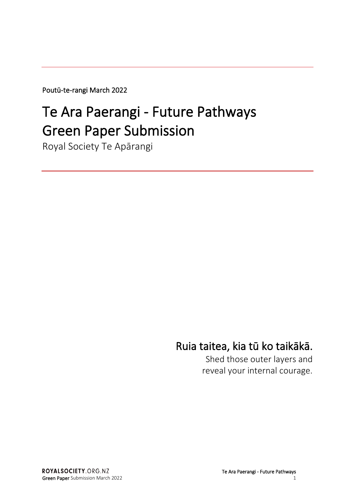Poutū-te-rangi March 2022

# Te Ara Paerangi - Future Pathways Green Paper Submission

Royal Society Te Apārangi

## Ruia taitea, kia tū ko taikākā.

Shed those outer layers and reveal your internal courage.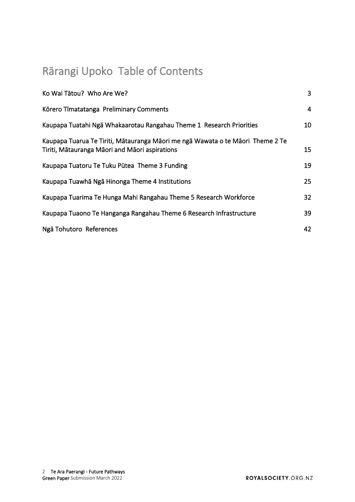## Rārangi Upoko Table of Contents

| Ko Wai Tātou? Who Are We?                                                                                                        | $\overline{3}$ |
|----------------------------------------------------------------------------------------------------------------------------------|----------------|
| Körero Timatatanga Preliminary Comments                                                                                          | $\overline{4}$ |
| Kaupapa Tuatahi Ngā Whakaarotau Rangahau Theme 1 Research Priorities                                                             | 10             |
| Kaupapa Tuarua Te Tiriti, Mātauranga Māori me ngā Wawata o te Māori Theme 2 Te<br>Tiriti, Mātauranga Māori and Māori aspirations | 15             |
| Kaupapa Tuatoru Te Tuku Pūtea Theme 3 Funding                                                                                    | 19             |
| Kaupapa Tuawhā Ngā Hinonga Theme 4 Institutions                                                                                  | 25             |
| Kaupapa Tuarima Te Hunga Mahi Rangahau Theme 5 Research Workforce                                                                | 32             |
| Kaupapa Tuaono Te Hanganga Rangahau Theme 6 Research Infrastructure                                                              | 39             |
| Ngā Tohutoro References                                                                                                          | 42             |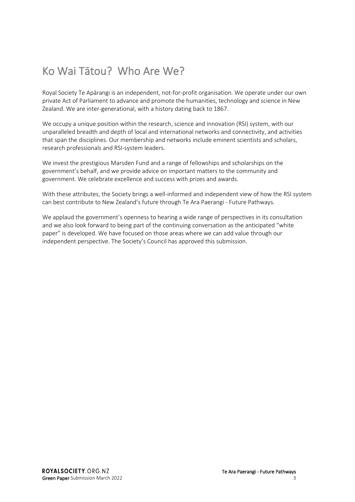## <span id="page-2-0"></span>Ko Wai Tātou? Who Are We?

Royal Society Te Apārangi is an independent, not-for-profit organisation. We operate under our own private Act of Parliament to advance and promote the humanities, technology and science in New Zealand. We are inter-generational, with a history dating back to 1867.

We occupy a unique position within the research, science and innovation (RSI) system, with our unparalleled breadth and depth of local and international networks and connectivity, and activities that span the disciplines. Our membership and networks include eminent scientists and scholars, research professionals and RSI-system leaders.

We invest the prestigious Marsden Fund and a range of fellowships and scholarships on the government's behalf, and we provide advice on important matters to the community and government. We celebrate excellence and success with prizes and awards.

With these attributes, the Society brings a well-informed and independent view of how the RSI system can best contribute to New Zealand's future through Te Ara Paerangi - Future Pathways.

We applaud the government's openness to hearing a wide range of perspectives in its consultation and we also look forward to being part of the continuing conversation as the anticipated "white paper" is developed. We have focused on those areas where we can add value through our independent perspective. The Society's Council has approved this submission.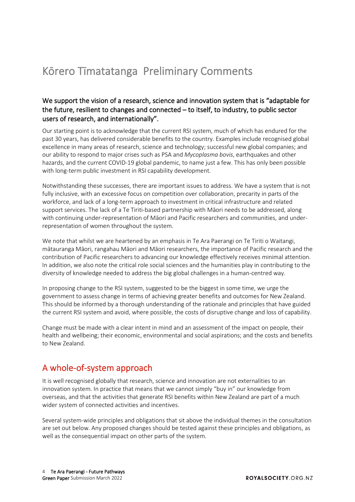## <span id="page-3-0"></span>Kōrero Tīmatatanga Preliminary Comments

#### We support the vision of a research, science and innovation system that is "adaptable for the future, resilient to changes and connected – to itself, to industry, to public sector users of research, and internationally".

Our starting point is to acknowledge that the current RSI system, much of which has endured for the past 30 years, has delivered considerable benefits to the country. Examples include recognised global excellence in many areas of research, science and technology; successful new global companies; and our ability to respond to major crises such as PSA and *Mycoplasma bovis*, earthquakes and other hazards, and the current COVID-19 global pandemic, to name just a few. This has only been possible with long-term public investment in RSI capability development.

Notwithstanding these successes, there are important issues to address. We have a system that is not fully inclusive, with an excessive focus on competition over collaboration, precarity in parts of the workforce, and lack of a long-term approach to investment in critical infrastructure and related support services. The lack of a Te Tiriti-based partnership with Māori needs to be addressed, along with continuing under-representation of Māori and Pacific researchers and communities, and underrepresentation of women throughout the system.

We note that whilst we are heartened by an emphasis in Te Ara Paerangi on Te Tiriti o Waitangi, mātauranga Māori, rangahau Māori and Māori researchers, the importance of Pacific research and the contribution of Pacific researchers to advancing our knowledge effectively receives minimal attention. In addition, we also note the critical role social sciences and the humanities play in contributing to the diversity of knowledge needed to address the big global challenges in a human-centred way.

In proposing change to the RSI system, suggested to be the biggest in some time, we urge the government to assess change in terms of achieving greater benefits and outcomes for New Zealand. This should be informed by a thorough understanding of the rationale and principles that have guided the current RSI system and avoid, where possible, the costs of disruptive change and loss of capability.

Change must be made with a clear intent in mind and an assessment of the impact on people, their health and wellbeing; their economic, environmental and social aspirations; and the costs and benefits to New Zealand.

## A whole-of-system approach

It is well recognised globally that research, science and innovation are not externalities to an innovation system. In practice that means that we cannot simply "buy in" our knowledge from overseas, and that the activities that generate RSI benefits within New Zealand are part of a much wider system of connected activities and incentives.

Several system-wide principles and obligations that sit above the individual themes in the consultation are set out below. Any proposed changes should be tested against these principles and obligations, as well as the consequential impact on other parts of the system.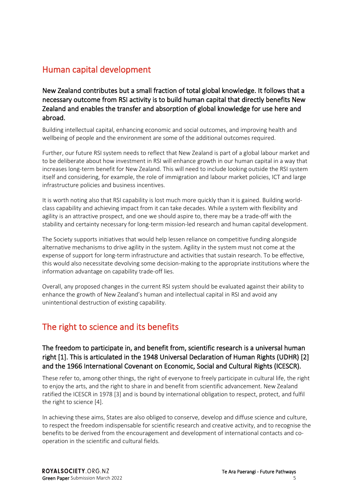## Human capital development

New Zealand contributes but a small fraction of total global knowledge. It follows that a necessary outcome from RSI activity is to build human capital that directly benefits New Zealand and enables the transfer and absorption of global knowledge for use here and abroad.

Building intellectual capital, enhancing economic and social outcomes, and improving health and wellbeing of people and the environment are some of the additional outcomes required.

Further, our future RSI system needs to reflect that New Zealand is part of a global labour market and to be deliberate about how investment in RSI will enhance growth in our human capital in a way that increases long-term benefit for New Zealand. This will need to include looking outside the RSI system itself and considering, for example, the role of immigration and labour market policies, ICT and large infrastructure policies and business incentives.

It is worth noting also that RSI capability is lost much more quickly than it is gained. Building worldclass capability and achieving impact from it can take decades. While a system with flexibility and agility is an attractive prospect, and one we should aspire to, there may be a trade-off with the stability and certainty necessary for long-term mission-led research and human capital development.

The Society supports initiatives that would help lessen reliance on competitive funding alongside alternative mechanisms to drive agility in the system. Agility in the system must not come at the expense of support for long-term infrastructure and activities that sustain research. To be effective, this would also necessitate devolving some decision-making to the appropriate institutions where the information advantage on capability trade-off lies.

Overall, any proposed changes in the current RSI system should be evaluated against their ability to enhance the growth of New Zealand's human and intellectual capital in RSI and avoid any unintentional destruction of existing capability.

## The right to science and its benefits

#### The freedom to participate in, and benefit from, scientific research is a universal human right [1]. This is articulated in the 1948 Universal Declaration of Human Rights (UDHR) [2] and the 1966 International Covenant on Economic, Social and Cultural Rights (ICESCR).

These refer to, among other things, the right of everyone to freely participate in cultural life, the right to enjoy the arts, and the right to share in and benefit from scientific advancement. New Zealand ratified the ICESCR in 1978 [3] and is bound by international obligation to respect, protect, and fulfil the right to science [4].

In achieving these aims, States are also obliged to conserve, develop and diffuse science and culture, to respect the freedom indispensable for scientific research and creative activity, and to recognise the benefits to be derived from the encouragement and development of international contacts and cooperation in the scientific and cultural fields.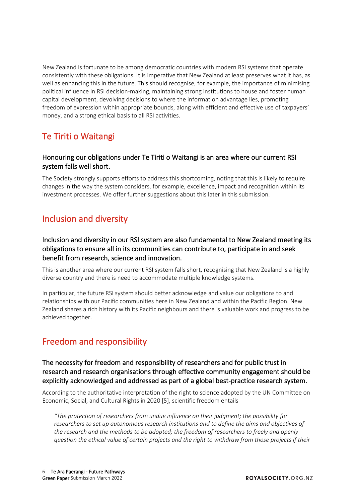New Zealand is fortunate to be among democratic countries with modern RSI systems that operate consistently with these obligations. It is imperative that New Zealand at least preserves what it has, as well as enhancing this in the future. This should recognise, for example, the importance of minimising political influence in RSI decision-making, maintaining strong institutions to house and foster human capital development, devolving decisions to where the information advantage lies, promoting freedom of expression within appropriate bounds, along with efficient and effective use of taxpayers' money, and a strong ethical basis to all RSI activities.

## Te Tiriti o Waitangi

#### Honouring our obligations under Te Tiriti o Waitangi is an area where our current RSI system falls well short.

The Society strongly supports efforts to address this shortcoming, noting that this is likely to require changes in the way the system considers, for example, excellence, impact and recognition within its investment processes. We offer further suggestions about this later in this submission.

## Inclusion and diversity

#### Inclusion and diversity in our RSI system are also fundamental to New Zealand meeting its obligations to ensure all in its communities can contribute to, participate in and seek benefit from research, science and innovation.

This is another area where our current RSI system falls short, recognising that New Zealand is a highly diverse country and there is need to accommodate multiple knowledge systems.

In particular, the future RSI system should better acknowledge and value our obligations to and relationships with our Pacific communities here in New Zealand and within the Pacific Region. New Zealand shares a rich history with its Pacific neighbours and there is valuable work and progress to be achieved together.

## Freedom and responsibility

#### The necessity for freedom and responsibility of researchers and for public trust in research and research organisations through effective community engagement should be explicitly acknowledged and addressed as part of a global best-practice research system.

According to the authoritative interpretation of the right to science adopted by the UN Committee on Economic, Social, and Cultural Rights in 2020 [5], scientific freedom entails

*"The protection of researchers from undue influence on their judgment; the possibility for researchers to set up autonomous research institutions and to define the aims and objectives of the research and the methods to be adopted; the freedom of researchers to freely and openly question the ethical value of certain projects and the right to withdraw from those projects if their*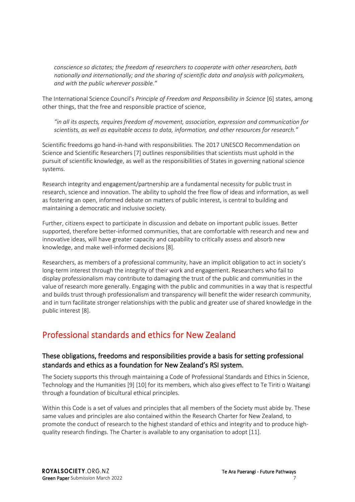*conscience so dictates; the freedom of researchers to cooperate with other researchers, both nationally and internationally; and the sharing of scientific data and analysis with policymakers, and with the public wherever possible."*

The International Science Council's *Principle of Freedom and Responsibility in Science* [6] states, among other things, that the free and responsible practice of science,

*"in all its aspects, requires freedom of movement, association, expression and communication for scientists, as well as equitable access to data, information, and other resources for research."*

Scientific freedoms go hand-in-hand with responsibilities. The 2017 UNESCO Recommendation on Science and Scientific Researchers [7] outlines responsibilities that scientists must uphold in the pursuit of scientific knowledge, as well as the responsibilities of States in governing national science systems.

Research integrity and engagement/partnership are a fundamental necessity for public trust in research, science and innovation. The ability to uphold the free flow of ideas and information, as well as fostering an open, informed debate on matters of public interest, is central to building and maintaining a democratic and inclusive society.

Further, citizens expect to participate in discussion and debate on important public issues. Better supported, therefore better-informed communities, that are comfortable with research and new and innovative ideas, will have greater capacity and capability to critically assess and absorb new knowledge, and make well-informed decisions [8].

Researchers, as members of a professional community, have an implicit obligation to act in society's long-term interest through the integrity of their work and engagement. Researchers who fail to display professionalism may contribute to damaging the trust of the public and communities in the value of research more generally. Engaging with the public and communities in a way that is respectful and builds trust through professionalism and transparency will benefit the wider research community, and in turn facilitate stronger relationships with the public and greater use of shared knowledge in the public interest [8].

## Professional standards and ethics for New Zealand

#### These obligations, freedoms and responsibilities provide a basis for setting professional standards and ethics as a foundation for New Zealand's RSI system.

The Society supports this through maintaining a Code of Professional Standards and Ethics in Science, Technology and the Humanities [9] [10] for its members, which also gives effect to Te Tiriti o Waitangi through a foundation of bicultural ethical principles.

Within this Code is a set of values and principles that all members of the Society must abide by. These same values and principles are also contained within the Research Charter for New Zealand, to promote the conduct of research to the highest standard of ethics and integrity and to produce highquality research findings. The Charter is available to any organisation to adopt [11].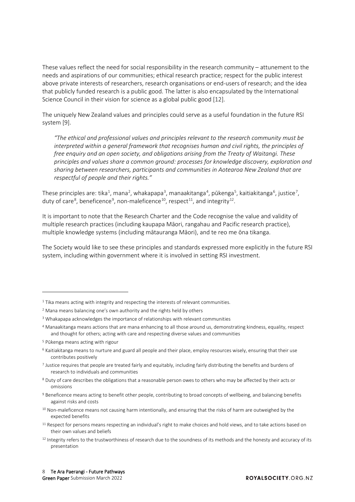These values reflect the need for social responsibility in the research community – attunement to the needs and aspirations of our communities; ethical research practice; respect for the public interest above private interests of researchers, research organisations or end-users of research; and the idea that publicly funded research is a public good. The latter is also encapsulated by the International Science Council in their vision for science as a global public good [12].

The uniquely New Zealand values and principles could serve as a useful foundation in the future RSI system [9].

*"The ethical and professional values and principles relevant to the research community must be interpreted within a general framework that recognises human and civil rights, the principles of free enquiry and an open society, and obligations arising from the Treaty of Waitangi. These principles and values share a common ground: processes for knowledge discovery, exploration and sharing between researchers, participants and communities in Aotearoa New Zealand that are respectful of people and their rights."*

These principles are: tika<sup>[1](#page-7-0)</sup>, mana<sup>[2](#page-7-1)</sup>, whakapapa<sup>[3](#page-7-2)</sup>, manaakitanga<sup>[4](#page-7-3)</sup>, pūkenga<sup>[5](#page-7-4)</sup>, kaitiakitanga<sup>[6](#page-7-5)</sup>, justice<sup>[7](#page-7-6)</sup>, duty of care $^8$  $^8$ , beneficence $^9$  $^9$ , non-maleficence $^{10}$ , respect $^{11}$  $^{11}$  $^{11}$ , and integrity $^{12}$ .

It is important to note that the Research Charter and the Code recognise the value and validity of multiple research practices (including kaupapa Māori, rangahau and Pacific research practice), multiple knowledge systems (including mātauranga Māori), and te reo me ōna tikanga.

The Society would like to see these principles and standards expressed more explicitly in the future RSI system, including within government where it is involved in setting RSI investment.

<span id="page-7-0"></span><sup>&</sup>lt;sup>1</sup> Tika means acting with integrity and respecting the interests of relevant communities.

<span id="page-7-1"></span><sup>2</sup> Mana means balancing one's own authority and the rights held by others

<span id="page-7-2"></span><sup>&</sup>lt;sup>3</sup> Whakapapa acknowledges the importance of relationships with relevant communities

<span id="page-7-3"></span><sup>4</sup> Manaakitanga means actions that are mana enhancing to all those around us, demonstrating kindness, equality, respect and thought for others; acting with care and respecting diverse values and communities

<span id="page-7-4"></span><sup>5</sup> Pūkenga means acting with rigour

<span id="page-7-5"></span><sup>6</sup> Kaitiakitanga means to nurture and guard all people and their place, employ resources wisely, ensuring that their use contributes positively

<span id="page-7-6"></span><sup>7</sup> Justice requires that people are treated fairly and equitably, including fairly distributing the benefits and burdens of research to individuals and communities

<span id="page-7-7"></span><sup>8</sup> Duty of care describes the obligations that a reasonable person owes to others who may be affected by their acts or omissions

<span id="page-7-8"></span><sup>9</sup> Beneficence means acting to benefit other people, contributing to broad concepts of wellbeing, and balancing benefits against risks and costs

<span id="page-7-9"></span><sup>&</sup>lt;sup>10</sup> Non-maleficence means not causing harm intentionally, and ensuring that the risks of harm are outweighed by the expected benefits

<span id="page-7-10"></span> $11$  Respect for persons means respecting an individual's right to make choices and hold views, and to take actions based on their own values and beliefs

<span id="page-7-11"></span><sup>&</sup>lt;sup>12</sup> Integrity refers to the trustworthiness of research due to the soundness of its methods and the honesty and accuracy of its presentation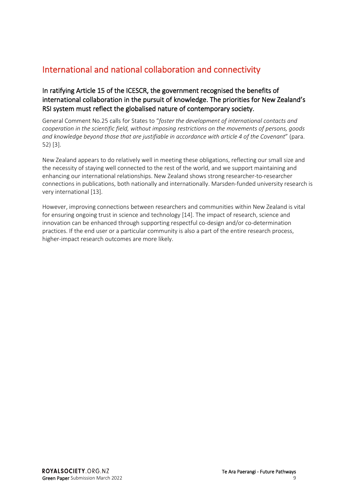## International and national collaboration and connectivity

#### In ratifying Article 15 of the ICESCR, the government recognised the benefits of international collaboration in the pursuit of knowledge. The priorities for New Zealand's RSI system must reflect the globalised nature of contemporary society.

General Comment No.25 calls for States to "*foster the development of international contacts and cooperation in the scientific field, without imposing restrictions on the movements of persons, goods and knowledge beyond those that are justifiable in accordance with article 4 of the Covenant*" (para. 52) [3].

New Zealand appears to do relatively well in meeting these obligations, reflecting our small size and the necessity of staying well connected to the rest of the world, and we support maintaining and enhancing our international relationships. New Zealand shows strong researcher-to-researcher connections in publications, both nationally and internationally. Marsden-funded university research is very international [13].

However, improving connections between researchers and communities within New Zealand is vital for ensuring ongoing trust in science and technology [14]. The impact of research, science and innovation can be enhanced through supporting respectful co-design and/or co-determination practices. If the end user or a particular community is also a part of the entire research process, higher-impact research outcomes are more likely.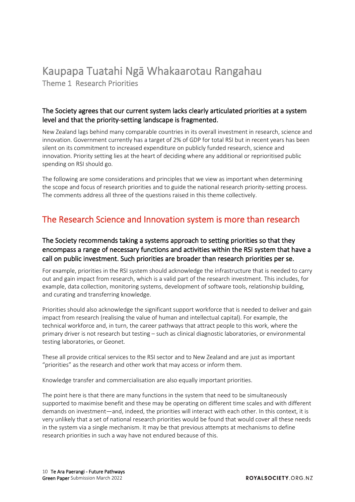# <span id="page-9-0"></span>Kaupapa Tuatahi Ngā Whakaarotau Rangahau Theme 1 Research Priorities

#### The Society agrees that our current system lacks clearly articulated priorities at a system level and that the priority-setting landscape is fragmented.

New Zealand lags behind many comparable countries in its overall investment in research, science and innovation. Government currently has a target of 2% of GDP for total RSI but in recent years has been silent on its commitment to increased expenditure on publicly funded research, science and innovation. Priority setting lies at the heart of deciding where any additional or reprioritised public spending on RSI should go.

The following are some considerations and principles that we view as important when determining the scope and focus of research priorities and to guide the national research priority-setting process. The comments address all three of the questions raised in this theme collectively.

## The Research Science and Innovation system is more than research

#### The Society recommends taking a systems approach to setting priorities so that they encompass a range of necessary functions and activities within the RSI system that have a call on public investment. Such priorities are broader than research priorities per se.

For example, priorities in the RSI system should acknowledge the infrastructure that is needed to carry out and gain impact from research, which is a valid part of the research investment. This includes, for example, data collection, monitoring systems, development of software tools, relationship building, and curating and transferring knowledge.

Priorities should also acknowledge the significant support workforce that is needed to deliver and gain impact from research (realising the value of human and intellectual capital). For example, the technical workforce and, in turn, the career pathways that attract people to this work, where the primary driver is not research but testing – such as clinical diagnostic laboratories, or environmental testing laboratories, or Geonet.

These all provide critical services to the RSI sector and to New Zealand and are just as important "priorities" as the research and other work that may access or inform them.

Knowledge transfer and commercialisation are also equally important priorities.

The point here is that there are many functions in the system that need to be simultaneously supported to maximise benefit and these may be operating on different time scales and with different demands on investment—and, indeed, the priorities will interact with each other. In this context, it is very unlikely that a set of national research priorities would be found that would cover all these needs in the system via a single mechanism. It may be that previous attempts at mechanisms to define research priorities in such a way have not endured because of this.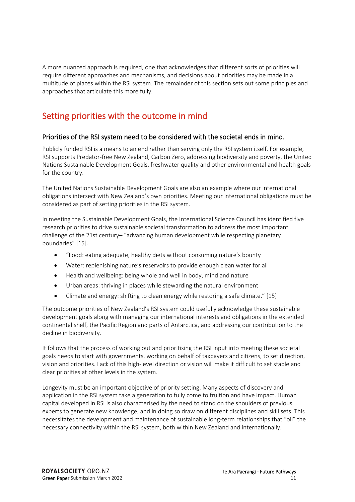A more nuanced approach is required, one that acknowledges that different sorts of priorities will require different approaches and mechanisms, and decisions about priorities may be made in a multitude of places within the RSI system. The remainder of this section sets out some principles and approaches that articulate this more fully.

## Setting priorities with the outcome in mind

#### Priorities of the RSI system need to be considered with the societal ends in mind.

Publicly funded RSI is a means to an end rather than serving only the RSI system itself. For example, RSI supports Predator-free New Zealand, Carbon Zero, addressing biodiversity and poverty, the United Nations Sustainable Development Goals, freshwater quality and other environmental and health goals for the country.

The United Nations Sustainable Development Goals are also an example where our international obligations intersect with New Zealand's own priorities. Meeting our international obligations must be considered as part of setting priorities in the RSI system.

In meeting the Sustainable Development Goals, the International Science Council has identified five research priorities to drive sustainable societal transformation to address the most important challenge of the 21st century– "advancing human development while respecting planetary boundaries" [15].

- "Food: eating adequate, healthy diets without consuming nature's bounty
- Water: replenishing nature's reservoirs to provide enough clean water for all
- Health and wellbeing: being whole and well in body, mind and nature
- Urban areas: thriving in places while stewarding the natural environment
- Climate and energy: shifting to clean energy while restoring a safe climate." [15]

The outcome priorities of New Zealand's RSI system could usefully acknowledge these sustainable development goals along with managing our international interests and obligations in the extended continental shelf, the Pacific Region and parts of Antarctica, and addressing our contribution to the decline in biodiversity.

It follows that the process of working out and prioritising the RSI input into meeting these societal goals needs to start with governments, working on behalf of taxpayers and citizens, to set direction, vision and priorities. Lack of this high-level direction or vision will make it difficult to set stable and clear priorities at other levels in the system.

Longevity must be an important objective of priority setting. Many aspects of discovery and application in the RSI system take a generation to fully come to fruition and have impact. Human capital developed in RSI is also characterised by the need to stand on the shoulders of previous experts to generate new knowledge, and in doing so draw on different disciplines and skill sets. This necessitates the development and maintenance of sustainable long-term relationships that "oil" the necessary connectivity within the RSI system, both within New Zealand and internationally.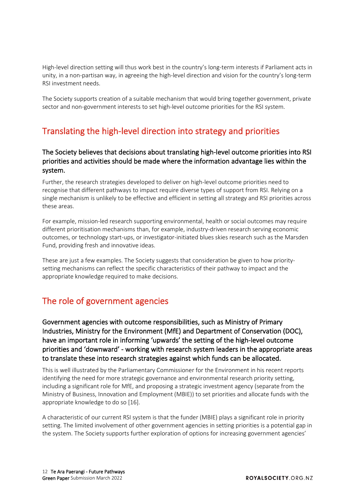High-level direction setting will thus work best in the country's long-term interests if Parliament acts in unity, in a non-partisan way, in agreeing the high-level direction and vision for the country's long-term RSI investment needs.

The Society supports creation of a suitable mechanism that would bring together government, private sector and non-government interests to set high-level outcome priorities for the RSI system.

## Translating the high-level direction into strategy and priorities

#### The Society believes that decisions about translating high-level outcome priorities into RSI priorities and activities should be made where the information advantage lies within the system.

Further, the research strategies developed to deliver on high-level outcome priorities need to recognise that different pathways to impact require diverse types of support from RSI. Relying on a single mechanism is unlikely to be effective and efficient in setting all strategy and RSI priorities across these areas.

For example, mission-led research supporting environmental, health or social outcomes may require different prioritisation mechanisms than, for example, industry-driven research serving economic outcomes, or technology start-ups, or investigator-initiated blues skies research such as the Marsden Fund, providing fresh and innovative ideas.

These are just a few examples. The Society suggests that consideration be given to how prioritysetting mechanisms can reflect the specific characteristics of their pathway to impact and the appropriate knowledge required to make decisions.

## The role of government agencies

Government agencies with outcome responsibilities, such as Ministry of Primary Industries, Ministry for the Environment (MfE) and Department of Conservation (DOC), have an important role in informing 'upwards' the setting of the high-level outcome priorities and 'downward' - working with research system leaders in the appropriate areas to translate these into research strategies against which funds can be allocated.

This is well illustrated by the Parliamentary Commissioner for the Environment in his recent reports identifying the need for more strategic governance and environmental research priority setting, including a significant role for MfE, and proposing a strategic investment agency (separate from the Ministry of Business, Innovation and Employment (MBIE)) to set priorities and allocate funds with the appropriate knowledge to do so [16].

A characteristic of our current RSI system is that the funder (MBIE) plays a significant role in priority setting. The limited involvement of other government agencies in setting priorities is a potential gap in the system. The Society supports further exploration of options for increasing government agencies'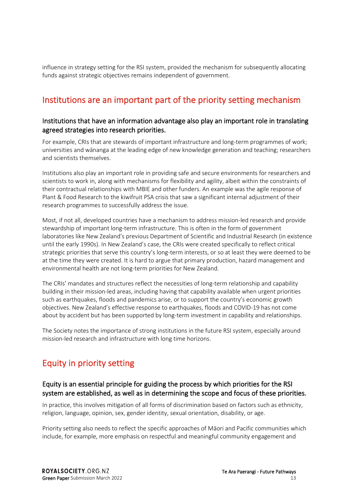influence in strategy setting for the RSI system, provided the mechanism for subsequently allocating funds against strategic objectives remains independent of government.

## Institutions are an important part of the priority setting mechanism

#### Institutions that have an information advantage also play an important role in translating agreed strategies into research priorities.

For example, CRIs that are stewards of important infrastructure and long-term programmes of work; universities and wānanga at the leading edge of new knowledge generation and teaching; researchers and scientists themselves.

Institutions also play an important role in providing safe and secure environments for researchers and scientists to work in, along with mechanisms for flexibility and agility, albeit within the constraints of their contractual relationships with MBIE and other funders. An example was the agile response of Plant & Food Research to the kiwifruit PSA crisis that saw a significant internal adjustment of their research programmes to successfully address the issue.

Most, if not all, developed countries have a mechanism to address mission-led research and provide stewardship of important long-term infrastructure. This is often in the form of government laboratories like New Zealand's previous Department of Scientific and Industrial Research (in existence until the early 1990s). In New Zealand's case, the CRIs were created specifically to reflect critical strategic priorities that serve this country's long-term interests, or so at least they were deemed to be at the time they were created. It is hard to argue that primary production, hazard management and environmental health are not long-term priorities for New Zealand.

The CRIs' mandates and structures reflect the necessities of long-term relationship and capability building in their mission-led areas, including having that capability available when urgent priorities such as earthquakes, floods and pandemics arise, or to support the country's economic growth objectives. New Zealand's effective response to earthquakes, floods and COVID-19 has not come about by accident but has been supported by long-term investment in capability and relationships.

The Society notes the importance of strong institutions in the future RSI system, especially around mission-led research and infrastructure with long time horizons.

## Equity in priority setting

#### Equity is an essential principle for guiding the process by which priorities for the RSI system are established, as well as in determining the scope and focus of these priorities.

In practice, this involves mitigation of all forms of discrimination based on factors such as ethnicity, religion, language, opinion, sex, gender identity, sexual orientation, disability, or age.

Priority setting also needs to reflect the specific approaches of Māori and Pacific communities which include, for example, more emphasis on respectful and meaningful community engagement and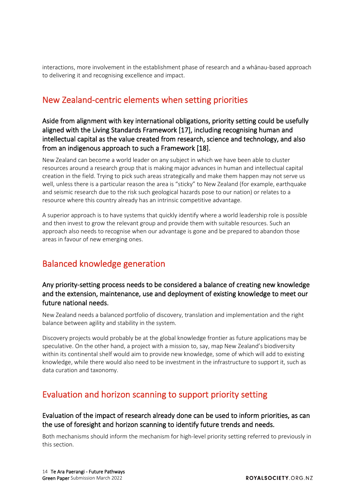interactions, more involvement in the establishment phase of research and a whānau-based approach to delivering it and recognising excellence and impact.

## New Zealand-centric elements when setting priorities

Aside from alignment with key international obligations, priority setting could be usefully aligned with the Living Standards Framework [17], including recognising human and intellectual capital as the value created from research, science and technology, and also from an indigenous approach to such a Framework [18].

New Zealand can become a world leader on any subject in which we have been able to cluster resources around a research group that is making major advances in human and intellectual capital creation in the field. Trying to pick such areas strategically and make them happen may not serve us well, unless there is a particular reason the area is "sticky" to New Zealand (for example, earthquake and seismic research due to the risk such geological hazards pose to our nation) or relates to a resource where this country already has an intrinsic competitive advantage.

A superior approach is to have systems that quickly identify where a world leadership role is possible and then invest to grow the relevant group and provide them with suitable resources. Such an approach also needs to recognise when our advantage is gone and be prepared to abandon those areas in favour of new emerging ones.

## Balanced knowledge generation

#### Any priority-setting process needs to be considered a balance of creating new knowledge and the extension, maintenance, use and deployment of existing knowledge to meet our future national needs.

New Zealand needs a balanced portfolio of discovery, translation and implementation and the right balance between agility and stability in the system.

Discovery projects would probably be at the global knowledge frontier as future applications may be speculative. On the other hand, a project with a mission to, say, map New Zealand's biodiversity within its continental shelf would aim to provide new knowledge, some of which will add to existing knowledge, while there would also need to be investment in the infrastructure to support it, such as data curation and taxonomy.

## Evaluation and horizon scanning to support priority setting

#### Evaluation of the impact of research already done can be used to inform priorities, as can the use of foresight and horizon scanning to identify future trends and needs.

Both mechanisms should inform the mechanism for high-level priority setting referred to previously in this section.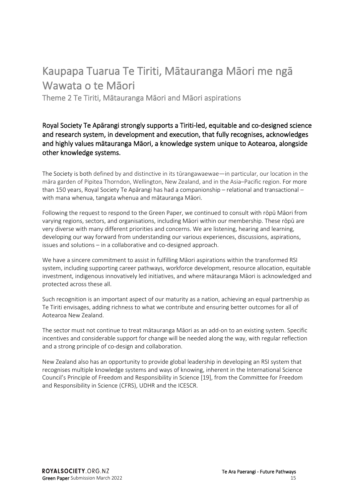## <span id="page-14-0"></span>Kaupapa Tuarua Te Tiriti, Mātauranga Māori me ngā Wawata o te Māori

Theme 2 Te Tiriti, Mātauranga Māori and Māori aspirations

Royal Society Te Apārangi strongly supports a Tiriti-led, equitable and co-designed science and research system, in development and execution, that fully recognises, acknowledges and highly values mātauranga Māori, a knowledge system unique to Aotearoa, alongside other knowledge systems.

The Society is both defined by and distinctive in its tūrangawaewae—in particular, our location in the māra garden of Pipitea Thorndon, Wellington, New Zealand, and in the Asia–Pacific region. For more than 150 years, Royal Society Te Apārangi has had a companionship – relational and transactional – with mana whenua, tangata whenua and mātauranga Māori.

Following the request to respond to the Green Paper, we continued to consult with rōpū Māori from varying regions, sectors, and organisations, including Māori within our membership. These rōpū are very diverse with many different priorities and concerns. We are listening, hearing and learning, developing our way forward from understanding our various experiences, discussions, aspirations, issues and solutions – in a collaborative and co-designed approach.

We have a sincere commitment to assist in fulfilling Māori aspirations within the transformed RSI system, including supporting career pathways, workforce development, resource allocation, equitable investment, indigenous innovatively led initiatives, and where mātauranga Māori is acknowledged and protected across these all.

Such recognition is an important aspect of our maturity as a nation, achieving an equal partnership as Te Tiriti envisages, adding richness to what we contribute and ensuring better outcomes for all of Aotearoa New Zealand.

The sector must not continue to treat mātauranga Māori as an add-on to an existing system. Specific incentives and considerable support for change will be needed along the way, with regular reflection and a strong principle of co-design and collaboration.

New Zealand also has an opportunity to provide global leadership in developing an RSI system that recognises multiple knowledge systems and ways of knowing, inherent in the International Science Council's Principle of Freedom and Responsibility in Science [19], from the Committee for Freedom and Responsibility in Science (CFRS), UDHR and the ICESCR.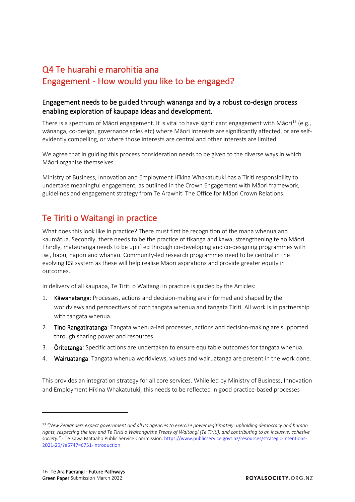## Q4 Te huarahi e marohitia ana Engagement - How would you like to be engaged?

#### Engagement needs to be guided through wānanga and by a robust co-design process enabling exploration of kaupapa ideas and development.

There is a spectrum of Māori engagement. It is vital to have significant engagement with Māori<sup>[13](#page-15-0)</sup> (e.g., wānanga, co-design, governance roles etc) where Māori interests are significantly affected, or are selfevidently compelling, or where those interests are central and other interests are limited.

We agree that in guiding this process consideration needs to be given to the diverse ways in which Māori organise themselves.

Ministry of Business, Innovation and Employment Hīkina Whakatutuki has a Tiriti responsibility to undertake meaningful engagement, as outlined in the Crown Engagement with Māori framework, guidelines and engagement strategy from Te Arawhiti The Office for Māori Crown Relations.

## Te Tiriti o Waitangi in practice

What does this look like in practice? There must first be recognition of the mana whenua and kaumātua. Secondly, there needs to be the practice of tikanga and kawa, strengthening te ao Māori. Thirdly, mātauranga needs to be uplifted through co-developing and co-designing programmes with iwi, hapū, hapori and whānau. Community-led research programmes need to be central in the evolving RSI system as these will help realise Māori aspirations and provide greater equity in outcomes.

In delivery of all kaupapa, Te Tiriti o Waitangi in practice is guided by the Articles:

- 1. Kāwanatanga: Processes, actions and decision-making are informed and shaped by the worldviews and perspectives of both tangata whenua and tangata Tiriti. All work is in partnership with tangata whenua.
- 2. Tino Rangatiratanga: Tangata whenua-led processes, actions and decision-making are supported through sharing power and resources.
- 3. Ōritetanga: Specific actions are undertaken to ensure equitable outcomes for tangata whenua.
- 4. Wairuatanga: Tangata whenua worldviews, values and wairuatanga are present in the work done.

This provides an integration strategy for all core services. While led by Ministry of Business, Innovation and Employment Hīkina Whakatutuki, this needs to be reflected in good practice-based processes

<span id="page-15-0"></span><sup>13</sup> *"New Zealanders expect government and all its agencies to exercise power legitimately: upholding democracy and human rights, respecting the law and Te Tiriti o Waitangi/the Treaty of Waitangi (Te Tiriti), and contributing to an inclusive, cohesive society." -* Te Kawa Mataaho Public Service Commission[. https://www.publicservice.govt.nz/resources/strategic-intentions-](https://www.publicservice.govt.nz/resources/strategic-intentions-2021-25/?e6747=6751-introduction)2021-[25/?e6747=6751](https://www.publicservice.govt.nz/resources/strategic-intentions-2021-25/?e6747=6751-introduction)-introduction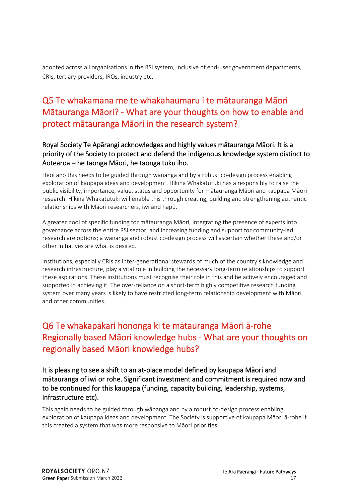adopted across all organisations in the RSI system, inclusive of end-user government departments, CRIs, tertiary providers, IROs, industry etc.

## Q5 Te whakamana me te whakahaumaru i te mātauranga Māori Mātauranga Māori? - What are your thoughts on how to enable and protect mātauranga Māori in the research system?

#### Royal Society Te Apārangi acknowledges and highly values mātauranga Māori. It is a priority of the Society to protect and defend the indigenous knowledge system distinct to Aotearoa – he taonga Māori, he taonga tuku iho.

Heoi anō this needs to be guided through wānanga and by a robust co-design process enabling exploration of kaupapa ideas and development. Hīkina Whakatutuki has a responsibly to raise the public visibility, importance, value, status and opportunity for mātauranga Māori and kaupapa Māori research. Hīkina Whakatutuki will enable this through creating, building and strengthening authentic relationships with Māori researchers, iwi and hapū.

A greater pool of specific funding for mātauranga Māori, integrating the presence of experts into governance across the entire RSI sector, and increasing funding and support for community-led research are options; a wānanga and robust co-design process will ascertain whether these and/or other initiatives are what is desired.

Institutions, especially CRIs as inter-generational stewards of much of the country's knowledge and research infrastructure, play a vital role in building the necessary long-term relationships to support these aspirations. These institutions must recognise their role in this and be actively encouraged and supported in achieving it. The over-reliance on a short-term highly competitive research funding system over many years is likely to have restricted long-term relationship development with Māori and other communities.

## Q6 Te whakapakari hononga ki te mātauranga Māori ā-rohe Regionally based Māori knowledge hubs - What are your thoughts on regionally based Māori knowledge hubs?

It is pleasing to see a shift to an at-place model defined by kaupapa Māori and mātauranga of iwi or rohe. Significant investment and commitment is required now and to be continued for this kaupapa (funding, capacity building, leadership, systems, infrastructure etc).

This again needs to be guided through wānanga and by a robust co-design process enabling exploration of kaupapa ideas and development. The Society is supportive of kaupapa Māori ā-rohe if this created a system that was more responsive to Māori priorities.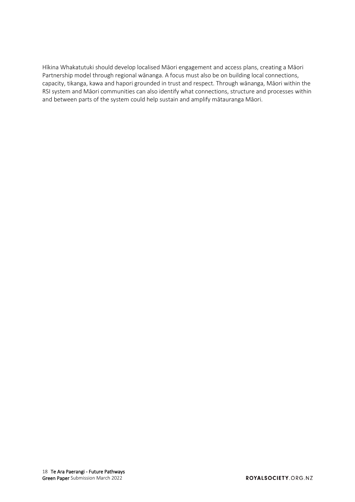Hīkina Whakatutuki should develop localised Māori engagement and access plans, creating a Māori Partnership model through regional wānanga. A focus must also be on building local connections, capacity, tikanga, kawa and hapori grounded in trust and respect. Through wānanga, Māori within the RSI system and Māori communities can also identify what connections, structure and processes within and between parts of the system could help sustain and amplify mātauranga Māori.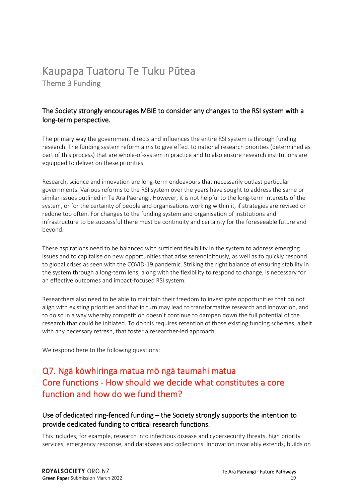# <span id="page-18-0"></span>Kaupapa Tuatoru Te Tuku Pūtea Theme 3 Funding

#### The Society strongly encourages MBIE to consider any changes to the RSI system with a long-term perspective.

The primary way the government directs and influences the entire RSI system is through funding research. The funding system reform aims to give effect to national research priorities (determined as part of this process) that are whole-of-system in practice and to also ensure research institutions are equipped to deliver on these priorities.

Research, science and innovation are long-term endeavours that necessarily outlast particular governments. Various reforms to the RSI system over the years have sought to address the same or similar issues outlined in Te Ara Paerangi. However, it is not helpful to the long-term interests of the system, or for the certainty of people and organisations working within it, if strategies are revised or redone too often. For changes to the funding system and organisation of institutions and infrastructure to be successful there must be continuity and certainty for the foreseeable future and beyond.

These aspirations need to be balanced with sufficient flexibility in the system to address emerging issues and to capitalise on new opportunities that arise serendipitously, as well as to quickly respond to global crises as seen with the COVID-19 pandemic. Striking the right balance of ensuring stability in the system through a long-term lens, along with the flexibility to respond to change, is necessary for an effective outcomes and impact-focused RSI system.

Researchers also need to be able to maintain their freedom to investigate opportunities that do not align with existing priorities and that in turn may lead to transformative research and innovation, and to do so in a way whereby competition doesn't continue to dampen down the full potential of the research that could be initiated. To do this requires retention of those existing funding schemes, albeit with any necessary refresh, that foster a researcher-led approach.

We respond here to the following questions:

## Q7. Ngā kōwhiringa matua mō ngā taumahi matua Core functions - How should we decide what constitutes a core function and how do we fund them?

#### Use of dedicated ring-fenced funding – the Society strongly supports the intention to provide dedicated funding to critical research functions.

This includes, for example, research into infectious disease and cybersecurity threats, high priority services, emergency response, and databases and collections. Innovation invariably extends, builds on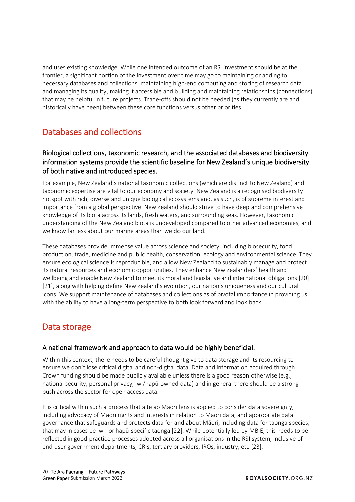and uses existing knowledge. While one intended outcome of an RSI investment should be at the frontier, a significant portion of the investment over time may go to maintaining or adding to necessary databases and collections, maintaining high-end computing and storing of research data and managing its quality, making it accessible and building and maintaining relationships (connections) that may be helpful in future projects. Trade-offs should not be needed (as they currently are and historically have been) between these core functions versus other priorities.

## Databases and collections

#### Biological collections, taxonomic research, and the associated databases and biodiversity information systems provide the scientific baseline for New Zealand's unique biodiversity of both native and introduced species.

For example, New Zealand's national taxonomic collections (which are distinct to New Zealand) and taxonomic expertise are vital to our economy and society. New Zealand is a recognised biodiversity hotspot with rich, diverse and unique biological ecosystems and, as such, is of supreme interest and importance from a global perspective. New Zealand should strive to have deep and comprehensive knowledge of its biota across its lands, fresh waters, and surrounding seas. However, taxonomic understanding of the New Zealand biota is undeveloped compared to other advanced economies, and we know far less about our marine areas than we do our land.

These databases provide immense value across science and society, including biosecurity, food production, trade, medicine and public health, conservation, ecology and environmental science. They ensure ecological science is reproducible, and allow New Zealand to sustainably manage and protect its natural resources and economic opportunities. They enhance New Zealanders' health and wellbeing and enable New Zealand to meet its moral and legislative and international obligations [20] [21], along with helping define New Zealand's evolution, our nation's uniqueness and our cultural icons. We support maintenance of databases and collections as of pivotal importance in providing us with the ability to have a long-term perspective to both look forward and look back.

## Data storage

#### A national framework and approach to data would be highly beneficial.

Within this context, there needs to be careful thought give to data storage and its resourcing to ensure we don't lose critical digital and non-digital data. Data and information acquired through Crown funding should be made publicly available unless there is a good reason otherwise (e.g., national security, personal privacy, iwi/hapū-owned data) and in general there should be a strong push across the sector for open access data.

It is critical within such a process that a te ao Māori lens is applied to consider data sovereignty, including advocacy of Māori rights and interests in relation to Māori data, and appropriate data governance that safeguards and protects data for and about Māori, including data for taonga species, that may in cases be iwi- or hapū-specific taonga [22]. While potentially led by MBIE, this needs to be reflected in good-practice processes adopted across all organisations in the RSI system, inclusive of end-user government departments, CRIs, tertiary providers, IROs, industry, etc [23].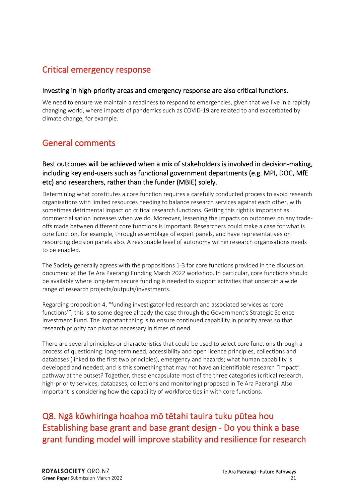## Critical emergency response

#### Investing in high-priority areas and emergency response are also critical functions.

We need to ensure we maintain a readiness to respond to emergencies, given that we live in a rapidly changing world, where impacts of pandemics such as COVID-19 are related to and exacerbated by climate change, for example.

## General comments

#### Best outcomes will be achieved when a mix of stakeholders is involved in decision-making, including key end-users such as functional government departments (e.g. MPI, DOC, MfE etc) and researchers, rather than the funder (MBIE) solely.

Determining what constitutes a core function requires a carefully conducted process to avoid research organisations with limited resources needing to balance research services against each other, with sometimes detrimental impact on critical research functions. Getting this right is important as commercialisation increases when we do. Moreover, lessening the impacts on outcomes on any tradeoffs made between different core functions is important. Researchers could make a case for what is core function, for example, through assemblage of expert panels, and have representatives on resourcing decision panels also. A reasonable level of autonomy within research organisations needs to be enabled.

The Society generally agrees with the propositions 1-3 for core functions provided in the discussion document at the Te Ara Paerangi Funding March 2022 workshop. In particular, core functions should be available where long-term secure funding is needed to support activities that underpin a wide range of research projects/outputs/investments.

Regarding proposition 4, "funding investigator-led research and associated services as 'core functions'", this is to some degree already the case through the Government's Strategic Science Investment Fund. The important thing is to ensure continued capability in priority areas so that research priority can pivot as necessary in times of need.

There are several principles or characteristics that could be used to select core functions through a process of questioning: long-term need, accessibility and open licence principles, collections and databases (linked to the first two principles), emergency and hazards; what human capability is developed and needed; and is this something that may not have an identifiable research "impact" pathway at the outset? Together, these encapsulate most of the three categories (critical research, high-priority services, databases, collections and monitoring) proposed in Te Ara Paerangi. Also important is considering how the capability of workforce ties in with core functions.

## Q8. Ngā kōwhiringa hoahoa mō tētahi tauira tuku pūtea hou Establishing base grant and base grant design - Do you think a base grant funding model will improve stability and resilience for research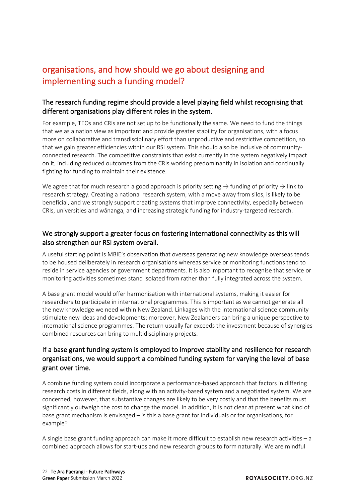## organisations, and how should we go about designing and implementing such a funding model?

#### The research funding regime should provide a level playing field whilst recognising that different organisations play different roles in the system.

For example, TEOs and CRIs are not set up to be functionally the same. We need to fund the things that we as a nation view as important and provide greater stability for organisations, with a focus more on collaborative and transdisciplinary effort than unproductive and restrictive competition, so that we gain greater efficiencies within our RSI system. This should also be inclusive of communityconnected research. The competitive constraints that exist currently in the system negatively impact on it, including reduced outcomes from the CRIs working predominantly in isolation and continually fighting for funding to maintain their existence.

We agree that for much research a good approach is priority setting  $\rightarrow$  funding of priority  $\rightarrow$  link to [research strategy.](#page-9-0) Creating a national research system, with a move away from silos, is likely to be beneficial, and we strongly support creating systems that improve connectivity, especially between CRIs, universities and wānanga, and increasing strategic funding for industry-targeted research.

#### We strongly support a greater focus on fostering international connectivity as this will also strengthen our RSI system overall.

A useful starting point is MBIE's observation that overseas generating new knowledge overseas tends to be housed deliberately in research organisations whereas service or monitoring functions tend to reside in service agencies or government departments. It is also important to recognise that service or monitoring activities sometimes stand isolated from rather than fully integrated across the system.

A base grant model would offer harmonisation with international systems, making it easier for researchers to participate in international programmes. This is important as we cannot generate all the new knowledge we need within New Zealand. Linkages with the international science community stimulate new ideas and developments; moreover, New Zealanders can bring a unique perspective to international science programmes. The return usually far exceeds the investment because of synergies combined resources can bring to multidisciplinary projects.

#### If a base grant funding system is employed to improve stability and resilience for research organisations, we would support a combined funding system for varying the level of base grant over time.

A combine funding system could incorporate a performance-based approach that factors in differing research costs in different fields, along with an activity-based system and a negotiated system. We are concerned, however, that substantive changes are likely to be very costly and that the benefits must significantly outweigh the cost to change the model. In addition, it is not clear at present what kind of base grant mechanism is envisaged – is this a base grant for individuals or for organisations, for example?

A single base grant funding approach can make it more difficult to establish new research activities – a combined approach allows for start-ups and new research groups to form naturally. We are mindful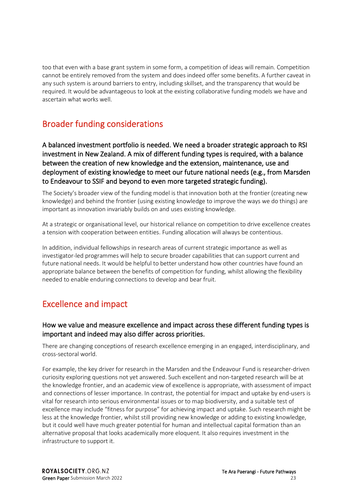too that even with a base grant system in some form, a competition of ideas will remain. Competition cannot be entirely removed from the system and does indeed offer some benefits. A further caveat in any such system is around barriers to entry, including skillset, and the transparency that would be required. It would be advantageous to look at the existing collaborative funding models we have and ascertain what works well.

## Broader funding considerations

A balanced investment portfolio is needed. We need a broader strategic approach to RSI investment in New Zealand. A mix of different funding types is required, with a balance between the creation of new knowledge and the extension, maintenance, use and deployment of existing knowledge to meet our future national needs (e.g., from Marsden to Endeavour to SSIF and beyond to even more targeted strategic funding).

The Society's broader view of the funding model is that innovation both at the frontier (creating new knowledge) and behind the frontier (using existing knowledge to improve the ways we do things) are important as innovation invariably builds on and uses existing knowledge.

At a strategic or organisational level, our historical reliance on competition to drive excellence creates a tension with cooperation between entities. Funding allocation will always be contentious.

In addition, individual fellowships in research areas of current strategic importance as well as investigator-led programmes will help to secure broader capabilities that can support current and future national needs. It would be helpful to better understand how other countries have found an appropriate balance between the benefits of competition for funding, whilst allowing the flexibility needed to enable enduring connections to develop and bear fruit.

## Excellence and impact

#### How we value and measure excellence and impact across these different funding types is important and indeed may also differ across priorities.

There are changing conceptions of research excellence emerging in an engaged, interdisciplinary, and cross-sectoral world.

For example, the key driver for research in the Marsden and the Endeavour Fund is researcher-driven curiosity exploring questions not yet answered. Such excellent and non-targeted research will be at the knowledge frontier, and an academic view of excellence is appropriate, with assessment of impact and connections of lesser importance. In contrast, the potential for impact and uptake by end-users is vital for research into serious environmental issues or to map biodiversity, and a suitable test of excellence may include "fitness for purpose" for achieving impact and uptake. Such research might be less at the knowledge frontier, whilst still providing new knowledge or adding to existing knowledge, but it could well have much greater potential for human and intellectual capital formation than an alternative proposal that looks academically more eloquent. It also requires investment in the infrastructure to support it.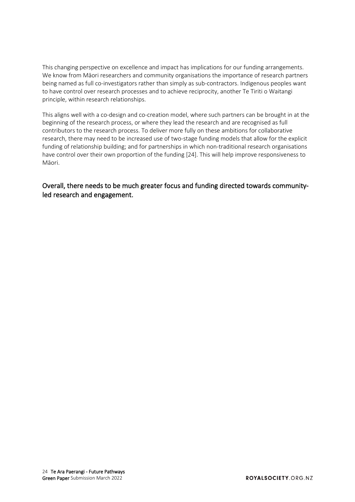This changing perspective on excellence and impact has implications for our funding arrangements. We know from Māori researchers and community organisations the importance of research partners being named as full co-investigators rather than simply as sub-contractors. Indigenous peoples want to have control over research processes and to achieve reciprocity, another Te Tiriti o Waitangi principle, within research relationships.

This aligns well with a co-design and co-creation model, where such partners can be brought in at the beginning of the research process, or where they lead the research and are recognised as full contributors to the research process. To deliver more fully on these ambitions for collaborative research, there may need to be increased use of two-stage funding models that allow for the explicit funding of relationship building; and for partnerships in which non-traditional research organisations have control over their own proportion of the funding [24]. This will help improve responsiveness to Māori.

Overall, there needs to be much greater focus and funding directed towards communityled research and engagement.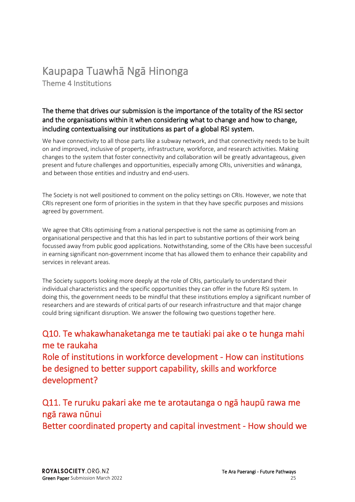# <span id="page-24-0"></span>Kaupapa Tuawh<sup>ā</sup> Ngā Hinonga Theme 4 Institutions

#### The theme that drives our submission is the importance of the totality of the RSI sector and the organisations within it when considering what to change and how to change, including contextualising our institutions as part of a global RSI system.

We have connectivity to all those parts like a subway network, and that connectivity needs to be built on and improved, inclusive of property, infrastructure, workforce, and research activities. Making changes to the system that foster connectivity and collaboration will be greatly advantageous, given present and future challenges and opportunities, especially among CRIs, universities and wānanga, and between those entities and industry and end-users.

The Society is not well positioned to comment on the policy settings on CRIs. However, we note that CRIs represent one form of priorities in the system in that they have specific purposes and missions agreed by government.

We agree that CRIs optimising from a national perspective is not the same as optimising from an organisational perspective and that this has led in part to substantive portions of their work being focussed away from public good applications. Notwithstanding, some of the CRIs have been successful in earning significant non-government income that has allowed them to enhance their capability and services in relevant areas.

The Society supports looking more deeply at the role of CRIs, particularly to understand their individual characteristics and the specific opportunities they can offer in the future RSI system. In doing this, the government needs to be mindful that these institutions employ a significant number of researchers and are stewards of critical parts of our research infrastructure and that major change could bring significant disruption. We answer the following two questions together here.

## Q10. Te whakawhanaketanga me te tautiaki pai ake o te hunga mahi me te raukaha

Role of institutions in workforce development - How can institutions be designed to better support capability, skills and workforce development?

## Q11. Te ruruku pakari ake me te arotautanga o ngā haupū rawa me ngā rawa nūnui

Better coordinated property and capital investment - How should we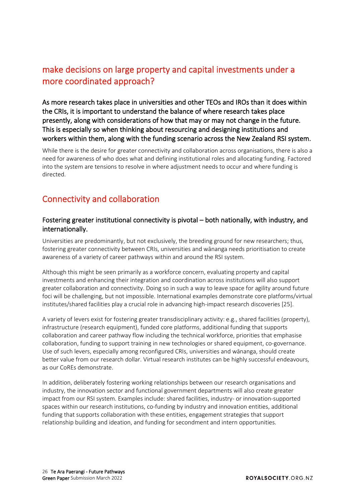## make decisions on large property and capital investments under a more coordinated approach?

As more research takes place in universities and other TEOs and IROs than it does within the CRIs, it is important to understand the balance of where research takes place presently, along with considerations of how that may or may not change in the future. This is especially so when thinking about resourcing and designing institutions and workers within them, along with the funding scenario across the New Zealand RSI system.

While there is the desire for greater connectivity and collaboration across organisations, there is also a need for awareness of who does what and defining institutional roles and allocating funding. Factored into the system are tensions to resolve in where adjustment needs to occur and where funding is directed.

## Connectivity and collaboration

#### Fostering greater institutional connectivity is pivotal – both nationally, with industry, and internationally.

Universities are predominantly, but not exclusively, the breeding ground for new researchers; thus, fostering greater connectivity between CRIs, universities and wānanga needs prioritisation to create awareness of a variety of career pathways within and around the RSI system.

Although this might be seen primarily as a workforce concern, evaluating property and capital investments and enhancing their integration and coordination across institutions will also support greater collaboration and connectivity. Doing so in such a way to leave space for agility around future foci will be challenging, but not impossible. International examples demonstrate core platforms/virtual institutes/shared facilities play a crucial role in advancing high-impact research discoveries [25].

A variety of levers exist for fostering greater transdisciplinary activity: e.g., shared facilities (property), infrastructure (research equipment), funded core platforms, additional funding that supports collaboration and career pathway flow including the technical workforce, priorities that emphasise collaboration, funding to support training in new technologies or shared equipment, co-governance. Use of such levers, especially among reconfigured CRIs, universities and wānanga, should create better value from our research dollar. Virtual research institutes can be highly successful endeavours, as our CoREs demonstrate.

In addition, deliberately fostering working relationships between our research organisations and industry, the innovation sector and functional government departments will also create greater impact from our RSI system. Examples include: shared facilities, industry- or innovation-supported spaces within our research institutions, co-funding by industry and innovation entities, additional funding that supports collaboration with these entities, engagement strategies that support relationship building and ideation, and funding for secondment and intern opportunities.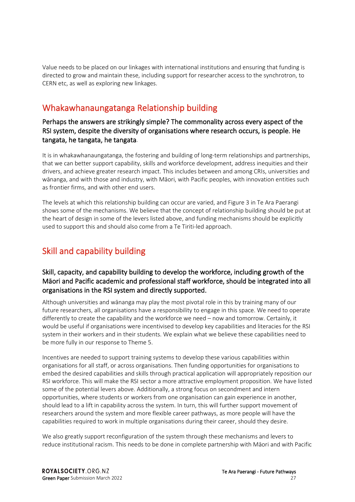Value needs to be placed on our linkages with international institutions and ensuring that funding is directed to grow and maintain these, including support for researcher access to the synchrotron, to CERN etc, as well as exploring new linkages.

## Whakawhanaungatanga Relationship building

#### Perhaps the answers are strikingly simple? The commonality across every aspect of the RSI system, despite the diversity of organisations where research occurs, is people. He tangata, he tangata, he tangata.

It is in whakawhanaungatanga, the fostering and building of long-term relationships and partnerships, that we can better support capability, skills and workforce development, address inequities and their drivers, and achieve greater research impact. This includes between and among CRIs, universities and wānanga, and with those and industry, with Māori, with Pacific peoples, with innovation entities such as frontier firms, and with other end users.

The levels at which this relationship building can occur are varied, and Figure 3 in Te Ara Paerangi shows some of the mechanisms. We believe that the concept of relationship building should be put at the heart of design in some of the levers listed above, and funding mechanisms should be explicitly used to support this and should also come from a Te Tiriti-led approach.

## Skill and capability building

#### Skill, capacity, and capability building to develop the workforce, including growth of the Māori and Pacific academic and professional staff workforce, should be integrated into all organisations in the RSI system and directly supported.

Although universities and wānanga may play the most pivotal role in this by training many of our future researchers, all organisations have a responsibility to engage in this space. We need to operate differently to create the capability and the workforce we need – now and tomorrow. Certainly, it would be useful if organisations were incentivised to develop key capabilities and literacies for the RSI system in their workers and in their students. We explain what we believe these capabilities need to be more fully in our response to Theme 5.

Incentives are needed to support training systems to develop these various capabilities within organisations for all staff, or across organisations. Then funding opportunities for organisations to embed the desired capabilities and skills through practical application will appropriately reposition our RSI workforce. This will make the RSI sector a more attractive employment proposition. We have listed some of the potential levers above. Additionally, a strong focus on secondment and intern opportunities, where students or workers from one organisation can gain experience in another, should lead to a lift in capability across the system. In turn, this will further support movement of researchers around the system and more flexible career pathways, as more people will have the capabilities required to work in multiple organisations during their career, should they desire.

We also greatly support reconfiguration of the system through these mechanisms and levers to reduce institutional racism. This needs to be done in complete partnership with Māori and with Pacific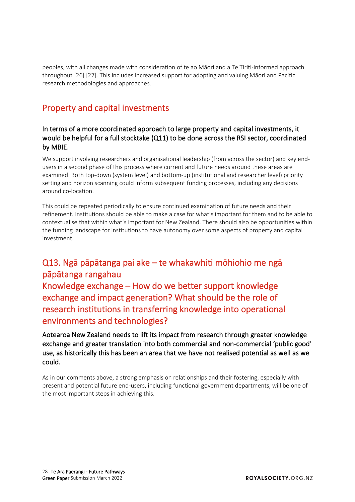peoples, with all changes made with consideration of te ao Māori and a Te Tiriti-informed approach throughout [26] [27]. This includes increased support for adopting and valuing Māori and Pacific research methodologies and approaches.

## Property and capital investments

#### In terms of a more coordinated approach to large property and capital investments, it would be helpful for a full stocktake (Q11) to be done across the RSI sector, coordinated by MBIE.

We support involving researchers and organisational leadership (from across the sector) and key endusers in a second phase of this process where current and future needs around these areas are examined. Both top-down (system level) and bottom-up (institutional and researcher level) priority setting and horizon scanning could inform subsequent funding processes, including any decisions around co-location.

This could be repeated periodically to ensure continued examination of future needs and their refinement. Institutions should be able to make a case for what's important for them and to be able to contextualise that within what's important for New Zealand. There should also be opportunities within the funding landscape for institutions to have autonomy over some aspects of property and capital investment.

## Q13. Ngā pāpātanga pai ake – te whakawhiti mōhiohio me ngā pāpātanga rangahau

Knowledge exchange – How do we better support knowledge exchange and impact generation? What should be the role of research institutions in transferring knowledge into operational environments and technologies?

Aotearoa New Zealand needs to lift its impact from research through greater knowledge exchange and greater translation into both commercial and non-commercial 'public good' use, as historically this has been an area that we have not realised potential as well as we could.

As in our comments above, a strong emphasis on relationships and their fostering, especially with present and potential future end-users, including functional government departments, will be one of the most important steps in achieving this.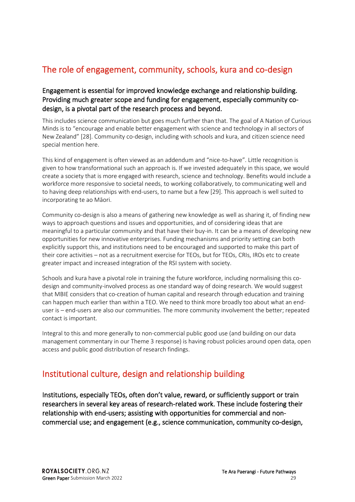## The role of engagement, community, schools, kura and co-design

#### Engagement is essential for improved knowledge exchange and relationship building. Providing much greater scope and funding for engagement, especially community codesign, is a pivotal part of the research process and beyond.

This includes science communication but goes much further than that. The goal of A Nation of Curious Minds is to "encourage and enable better engagement with science and technology in all sectors of New Zealand" [28]. Community co-design, including with schools and kura, and citizen science need special mention here.

This kind of engagement is often viewed as an addendum and "nice-to-have". Little recognition is given to how transformational such an approach is. If we invested adequately in this space, we would create a society that is more engaged with research, science and technology. Benefits would include a workforce more responsive to societal needs, to working collaboratively, to communicating well and to having deep relationships with end-users, to name but a few [29]. This approach is well suited to incorporating te ao Māori.

Community co-design is also a means of gathering new knowledge as well as sharing it, of finding new ways to approach questions and issues and opportunities, and of considering ideas that are meaningful to a particular community and that have their buy-in. It can be a means of developing new opportunities for new innovative enterprises. Funding mechanisms and priority setting can both explicitly support this, and institutions need to be encouraged and supported to make this part of their core activities – not as a recruitment exercise for TEOs, but for TEOs, CRIs, IROs etc to create greater impact and increased integration of the RSI system with society.

Schools and kura have a pivotal role in training the future workforce, including normalising this codesign and community-involved process as one standard way of doing research. We would suggest that MBIE considers that co-creation of human capital and research through education and training can happen much earlier than within a TEO. We need to think more broadly too about what an enduser is – end-users are also our communities. The more community involvement the better; repeated contact is important.

Integral to this and more generally to non-commercial public good use (and building on our data management commentary in our Theme 3 response) is having robust policies around open data, open access and public good distribution of research findings.

## Institutional culture, design and relationship building

Institutions, especially TEOs, often don't value, reward, or sufficiently support or train researchers in several key areas of research-related work. These include fostering their relationship with end-users; assisting with opportunities for commercial and noncommercial use; and engagement (e.g., science communication, community co-design,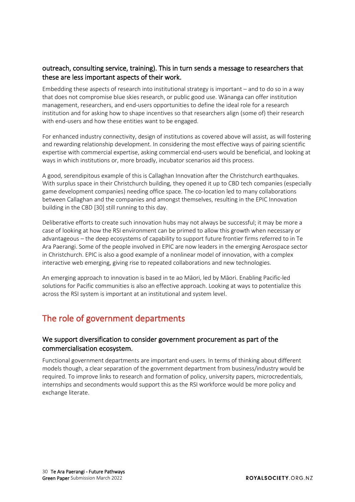#### outreach, consulting service, training). This in turn sends a message to researchers that these are less important aspects of their work.

Embedding these aspects of research into institutional strategy is important – and to do so in a way that does not compromise blue skies research, or public good use. Wānanga can offer institution management, researchers, and end-users opportunities to define the ideal role for a research institution and for asking how to shape incentives so that researchers align (some of) their research with end-users and how these entities want to be engaged.

For enhanced industry connectivity, design of institutions as covered above will assist, as will fostering and rewarding relationship development. In considering the most effective ways of pairing scientific expertise with commercial expertise, asking commercial end-users would be beneficial, and looking at ways in which institutions or, more broadly, incubator scenarios aid this process.

A good, serendipitous example of this is Callaghan Innovation after the Christchurch earthquakes. With surplus space in their Christchurch building, they opened it up to CBD tech companies (especially game development companies) needing office space. The co-location led to many collaborations between Callaghan and the companies and amongst themselves, resulting in the EPIC Innovation building in the CBD [30] still running to this day.

Deliberative efforts to create such innovation hubs may not always be successful; it may be more a case of looking at how the RSI environment can be primed to allow this growth when necessary or advantageous – the deep ecosystems of capability to support future frontier firms referred to in Te Ara Paerangi. Some of the people involved in EPIC are now leaders in the emerging Aerospace sector in Christchurch. EPIC is also a good example of a nonlinear model of innovation, with a complex interactive web emerging, giving rise to repeated collaborations and new technologies.

An emerging approach to innovation is based in te ao Māori, led by Māori. Enabling Pacific-led solutions for Pacific communities is also an effective approach. Looking at ways to potentialize this across the RSI system is important at an institutional and system level.

## The role of government departments

#### We support diversification to consider government procurement as part of the commercialisation ecosystem.

Functional government departments are important end-users. In terms of thinking about different models though, a clear separation of the government department from business/industry would be required. To improve links to research and formation of policy, university papers, microcredentials, internships and secondments would support this as the RSI workforce would be more policy and exchange literate.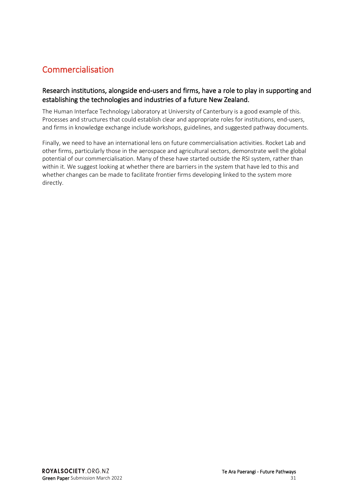## Commercialisation

#### Research institutions, alongside end-users and firms, have a role to play in supporting and establishing the technologies and industries of a future New Zealand.

The Human Interface Technology Laboratory at University of Canterbury is a good example of this. Processes and structures that could establish clear and appropriate roles for institutions, end-users, and firms in knowledge exchange include workshops, guidelines, and suggested pathway documents.

Finally, we need to have an international lens on future commercialisation activities. Rocket Lab and other firms, particularly those in the aerospace and agricultural sectors, demonstrate well the global potential of our commercialisation. Many of these have started outside the RSI system, rather than within it. We suggest looking at whether there are barriers in the system that have led to this and whether changes can be made to facilitate frontier firms developing linked to the system more directly.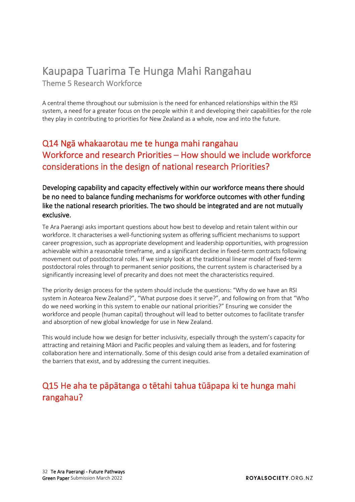# <span id="page-31-0"></span>Kaupapa Tuarima Te Hunga Mahi Rangahau Theme 5 Research Workforce

A central theme throughout our submission is the need for enhanced relationships within the RSI system, a need for a greater focus on the people within it and developing their capabilities for the role they play in contributing to priorities for New Zealand as a whole, now and into the future.

## Q14 Ngā whakaarotau me te hunga mahi rangahau Workforce and research Priorities – How should we include workforce considerations in the design of national research Priorities?

Developing capability and capacity effectively within our workforce means there should be no need to balance funding mechanisms for workforce outcomes with other funding like the national research priorities. The two should be integrated and are not mutually exclusive.

Te Ara Paerangi asks important questions about how best to develop and retain talent within our workforce. It characterises a well-functioning system as offering sufficient mechanisms to support career progression, such as appropriate development and leadership opportunities, with progression achievable within a reasonable timeframe, and a significant decline in fixed-term contracts following movement out of postdoctoral roles. If we simply look at the traditional linear model of fixed-term postdoctoral roles through to permanent senior positions, the current system is characterised by a significantly increasing level of precarity and does not meet the characteristics required.

The priority design process for the system should include the questions: "Why do we have an RSI system in Aotearoa New Zealand?", "What purpose does it serve?", and following on from that "Who do we need working in this system to enable our national priorities?" Ensuring we consider the workforce and people (human capital) throughout will lead to better outcomes to facilitate transfer and absorption of new global knowledge for use in New Zealand.

This would include how we design for better inclusivity, especially through the system's capacity for attracting and retaining Māori and Pacific peoples and valuing them as leaders, and for fostering collaboration here and internationally. Some of this design could arise from a detailed examination of the barriers that exist, and by addressing the current inequities.

## Q15 He aha te pāpātanga o tētahi tahua tūāpapa ki te hunga mahi rangahau?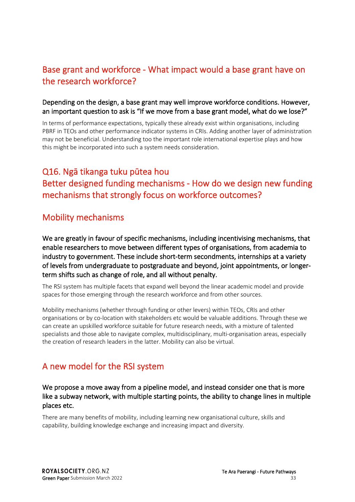## Base grant and workforce - What impact would a base grant have on the research workforce?

#### Depending on the design, a base grant may well improve workforce conditions. However, an important question to ask is "If we move from a base grant model, what do we lose?"

In terms of performance expectations, typically these already exist within organisations, including PBRF in TEOs and other performance indicator systems in CRIs. Adding another layer of administration may not be beneficial. Understanding too the important role international expertise plays and how this might be incorporated into such a system needs consideration.

## Q16. Ngā tikanga tuku pūtea hou Better designed funding mechanisms - How do we design new funding mechanisms that strongly focus on workforce outcomes?

### Mobility mechanisms

We are greatly in favour of specific mechanisms, including incentivising mechanisms, that enable researchers to move between different types of organisations, from academia to industry to government. These include short-term secondments, internships at a variety of levels from undergraduate to postgraduate and beyond, joint appointments, or longerterm shifts such as change of role, and all without penalty.

The RSI system has multiple facets that expand well beyond the linear academic model and provide spaces for those emerging through the research workforce and from other sources.

Mobility mechanisms (whether through funding or other levers) within TEOs, CRIs and other organisations or by co-location with stakeholders etc would be valuable additions. Through these we can create an upskilled workforce suitable for future research needs, with a mixture of talented specialists and those able to navigate complex, multidisciplinary, multi-organisation areas, especially the creation of research leaders in the latter. Mobility can also be virtual.

## A new model for the RSI system

#### We propose a move away from a pipeline model, and instead consider one that is more like a subway network, with multiple starting points, the ability to change lines in multiple places etc.

There are many benefits of mobility, including learning new organisational culture, skills and capability, building knowledge exchange and increasing impact and diversity.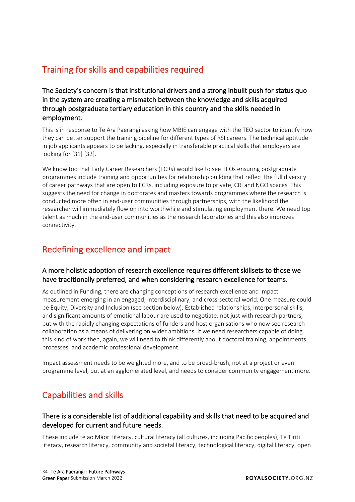## Training for skills and capabilities required

The Society's concern is that institutional drivers and a strong inbuilt push for status quo in the system are creating a mismatch between the knowledge and skills acquired through postgraduate tertiary education in this country and the skills needed in employment.

This is in response to Te Ara Paerangi asking how MBIE can engage with the TEO sector to identify how they can better support the training pipeline for different types of RSI careers. The technical aptitude in job applicants appears to be lacking, especially in transferable practical skills that employers are looking for [31] [32].

We know too that Early Career Researchers (ECRs) would like to see TEOs ensuring postgraduate programmes include training and opportunities for relationship building that reflect the full diversity of career pathways that are open to ECRs, including exposure to private, CRI and NGO spaces. This suggests the need for change in doctorates and masters towards programmes where the research is conducted more often in end-user communities through partnerships, with the likelihood the researcher will immediately flow on into worthwhile and stimulating employment there. We need top talent as much in the end-user communities as the research laboratories and this also improves connectivity.

### Redefining excellence and impact

#### A more holistic adoption of research excellence requires different skillsets to those we have traditionally preferred, and when considering research excellence for teams.

As outlined in Funding, there are changing conceptions of research excellence and impact measurement emerging in an engaged, interdisciplinary, and cross-sectoral world. One measure could be Equity, Diversity and Inclusion (see section below). Established relationships, interpersonal skills, and significant amounts of emotional labour are used to negotiate, not just with research partners, but with the rapidly changing expectations of funders and host organisations who now see research collaboration as a means of delivering on wider ambitions. If we need researchers capable of doing this kind of work then, again, we will need to think differently about doctoral training, appointments processes, and academic professional development.

Impact assessment needs to be weighted more, and to be broad-brush, not at a project or even programme level, but at an agglomerated level, and needs to consider community engagement more.

## Capabilities and skills

#### There is a considerable list of additional capability and skills that need to be acquired and developed for current and future needs.

These include te ao Māori literacy, cultural literacy (all cultures, including Pacific peoples), Te Tiriti literacy, research literacy, community and societal literacy, technological literacy, digital literacy, open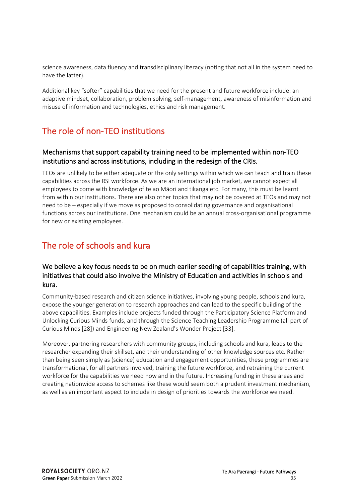science awareness, data fluency and transdisciplinary literacy (noting that not all in the system need to have the latter).

Additional key "softer" capabilities that we need for the present and future workforce include: an adaptive mindset, collaboration, problem solving, self-management, awareness of misinformation and misuse of information and technologies, ethics and risk management.

## The role of non-TEO institutions

#### Mechanisms that support capability training need to be implemented within non-TEO institutions and across institutions, including in the redesign of the CRIs.

TEOs are unlikely to be either adequate or the only settings within which we can teach and train these capabilities across the RSI workforce. As we are an international job market, we cannot expect all employees to come with knowledge of te ao Māori and tikanga etc. For many, this must be learnt from within our institutions. There are also other topics that may not be covered at TEOs and may not need to be – especially if we move as proposed to consolidating governance and organisational functions across our institutions. One mechanism could be an annual cross-organisational programme for new or existing employees.

## The role of schools and kura

#### We believe a key focus needs to be on much earlier seeding of capabilities training, with initiatives that could also involve the Ministry of Education and activities in schools and kura.

Community-based research and citizen science initiatives, involving young people, schools and kura, expose the younger generation to research approaches and can lead to the specific building of the above capabilities. Examples include projects funded through the Participatory Science Platform and Unlocking Curious Minds funds, and through the Science Teaching Leadership Programme (all part of Curious Minds [28]) and Engineering New Zealand's Wonder Project [33].

Moreover, partnering researchers with community groups, including schools and kura, leads to the researcher expanding their skillset, and their understanding of other knowledge sources etc. Rather than being seen simply as (science) education and engagement opportunities, these programmes are transformational, for all partners involved, training the future workforce, and retraining the current workforce for the capabilities we need now and in the future. Increasing funding in these areas and creating nationwide access to schemes like these would seem both a prudent investment mechanism, as well as an important aspect to include in design of priorities towards the workforce we need.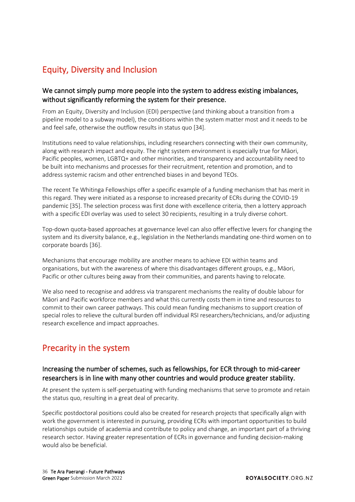## Equity, Diversity and Inclusion

#### We cannot simply pump more people into the system to address existing imbalances, without significantly reforming the system for their presence.

From an Equity, Diversity and Inclusion (EDI) perspective (and thinking about a transition from a pipeline model to a subway model), the conditions within the system matter most and it needs to be and feel safe, otherwise the outflow results in status quo [34].

Institutions need to value relationships, including researchers connecting with their own community, along with research impact and equity. The right system environment is especially true for Māori, Pacific peoples, women, LGBTQ+ and other minorities, and transparency and accountability need to be built into mechanisms and processes for their recruitment, retention and promotion, and to address systemic racism and other entrenched biases in and beyond TEOs.

The recent Te Whitinga Fellowships offer a specific example of a funding mechanism that has merit in this regard. They were initiated as a response to increased precarity of ECRs during the COVID-19 pandemic [35]. The selection process was first done with excellence criteria, then a lottery approach with a specific EDI overlay was used to select 30 recipients, resulting in a truly diverse cohort.

Top-down quota-based approaches at governance level can also offer effective levers for changing the system and its diversity balance, e.g., legislation in the Netherlands mandating one-third women on to corporate boards [36].

Mechanisms that encourage mobility are another means to achieve EDI within teams and organisations, but with the awareness of where this disadvantages different groups, e.g., Māori, Pacific or other cultures being away from their communities, and parents having to relocate.

We also need to recognise and address via transparent mechanisms the reality of double labour for Māori and Pacific workforce members and what this currently costs them in time and resources to commit to their own career pathways. This could mean funding mechanisms to support creation of special roles to relieve the cultural burden off individual RSI researchers/technicians, and/or adjusting research excellence and impact approaches.

## Precarity in the system

#### Increasing the number of schemes, such as fellowships, for ECR through to mid-career researchers is in line with many other countries and would produce greater stability.

At present the system is self-perpetuating with funding mechanisms that serve to promote and retain the status quo, resulting in a great deal of precarity.

Specific postdoctoral positions could also be created for research projects that specifically align with work the government is interested in pursuing, providing ECRs with important opportunities to build relationships outside of academia and contribute to policy and change, an important part of a thriving research sector. Having greater representation of ECRs in governance and funding decision-making would also be beneficial.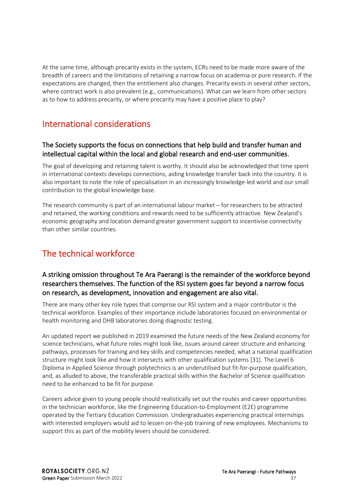At the same time, although precarity exists in the system, ECRs need to be made more aware of the breadth of careers and the limitations of retaining a narrow focus on academia or pure research. If the expectations are changed, then the entitlement also changes. Precarity exists in several other sectors, where contract work is also prevalent (e.g., communications). What can we learn from other sectors as to how to address precarity, or where precarity may have a positive place to play?

### International considerations

#### The Society supports the focus on connections that help build and transfer human and intellectual capital within the local and global research and end-user communities.

The goal of developing and retaining talent is worthy. It should also be acknowledged that time spent in international contexts develops connections, aiding knowledge transfer back into the country. It is also important to note the role of specialisation in an increasingly knowledge-led world and our small contribution to the global knowledge base.

The research community is part of an international labour market – for researchers to be attracted and retained, the working conditions and rewards need to be sufficiently attractive. New Zealand's economic geography and location demand greater government support to incentivise connectivity than other similar countries.

## The technical workforce

#### A striking omission throughout Te Ara Paerangi is the remainder of the workforce beyond researchers themselves. The function of the RSI system goes far beyond a narrow focus on research, as development, innovation and engagement are also vital.

There are many other key role types that comprise our RSI system and a major contributor is the technical workforce. Examples of their importance include laboratories focused on environmental or health monitoring and DHB laboratories doing diagnostic testing.

An updated report we published in 2019 examined the future needs of the New Zealand economy for science technicians, what future roles might look like, issues around career structure and enhancing pathways, processes for training and key skills and competencies needed, what a national qualification structure might look like and how it intersects with other qualification systems [31]. The Level 6 Diploma in Applied Science through polytechnics is an underutilised but fit-for-purpose qualification, and, as alluded to above, the transferable practical skills within the Bachelor of Science qualification need to be enhanced to be fit for purpose.

Careers advice given to young people should realistically set out the routes and career opportunities in the technician workforce, like the Engineering Education-to-Employment (E2E) programme operated by the Tertiary Education Commission. Undergraduates experiencing practical internships with interested employers would aid to lessen on-the-job training of new employees. Mechanisms to support this as part of the mobility levers should be considered.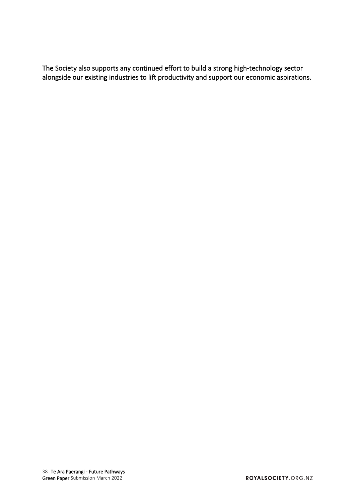The Society also supports any continued effort to build a strong high-technology sector alongside our existing industries to lift productivity and support our economic aspirations.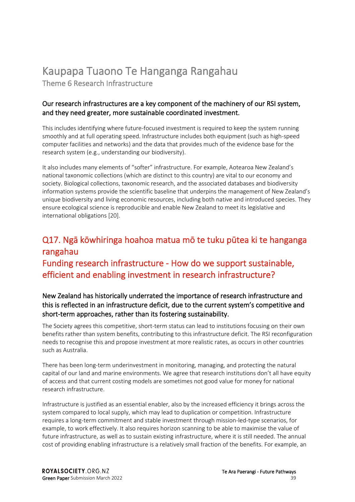## <span id="page-38-0"></span>Kaupapa Tuaono Te Hanganga Rangahau

Theme 6 Research Infrastructure

#### Our research infrastructures are a key component of the machinery of our RSI system, and they need greater, more sustainable coordinated investment.

This includes identifying where future-focused investment is required to keep the system running smoothly and at full operating speed. Infrastructure includes both equipment (such as high-speed computer facilities and networks) and the data that provides much of the evidence base for the research system (e.g., understanding our biodiversity).

It also includes many elements of "softer" infrastructure. For example, Aotearoa New Zealand's national taxonomic collections (which are distinct to this country) are vital to our economy and society. Biological collections, taxonomic research, and the associated databases and biodiversity information systems provide the scientific baseline that underpins the management of New Zealand's unique biodiversity and living economic resources, including both native and introduced species. They ensure ecological science is reproducible and enable New Zealand to meet its legislative and international obligations [20].

## Q17. Ngā kōwhiringa hoahoa matua mō te tuku pūtea ki te hanganga rangahau Funding research infrastructure - How do we support sustainable, efficient and enabling investment in research infrastructure?

#### New Zealand has historically underrated the importance of research infrastructure and this is reflected in an infrastructure deficit, due to the current system's competitive and short-term approaches, rather than its fostering sustainability.

The Society agrees this competitive, short-term status can lead to institutions focusing on their own benefits rather than system benefits, contributing to this infrastructure deficit. The RSI reconfiguration needs to recognise this and propose investment at more realistic rates, as occurs in other countries such as Australia.

There has been long-term underinvestment in monitoring, managing, and protecting the natural capital of our land and marine environments. We agree that research institutions don't all have equity of access and that current costing models are sometimes not good value for money for national research infrastructure.

Infrastructure is justified as an essential enabler, also by the increased efficiency it brings across the system compared to local supply, which may lead to duplication or competition. Infrastructure requires a long-term commitment and stable investment through mission-led-type scenarios, for example, to work effectively. It also requires horizon scanning to be able to maximise the value of future infrastructure, as well as to sustain existing infrastructure, where it is still needed. The annual cost of providing enabling infrastructure is a relatively small fraction of the benefits. For example, an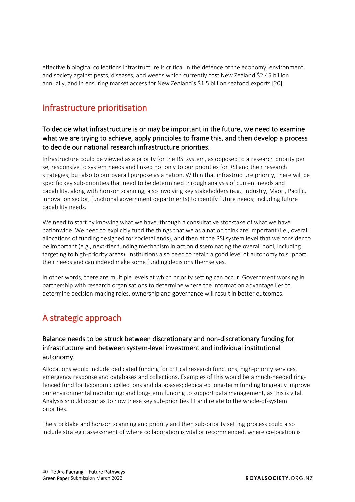effective biological collections infrastructure is critical in the defence of the economy, environment and society against pests, diseases, and weeds which currently cost New Zealand \$2.45 billion annually, and in ensuring market access for New Zealand's \$1.5 billion seafood exports [20].

## Infrastructure prioritisation

#### To decide what infrastructure is or may be important in the future, we need to examine what we are trying to achieve, apply principles to frame this, and then develop a process to decide our national research infrastructure priorities.

Infrastructure could be viewed as a priority for the RSI system, as opposed to a research priority per se, responsive to system needs and linked not only to our priorities for RSI and their research strategies, but also to our overall purpose as a nation. Within that infrastructure priority, there will be specific key sub-priorities that need to be determined through analysis of current needs and capability, along with horizon scanning, also involving key stakeholders (e.g., industry, Māori, Pacific, innovation sector, functional government departments) to identify future needs, including future capability needs.

We need to start by knowing what we have, through a consultative stocktake of what we have nationwide. We need to explicitly fund the things that we as a nation think are important (i.e., overall allocations of funding designed for societal ends), and then at the RSI system level that we consider to be important (e.g., next-tier funding mechanism in action disseminating the overall pool, including targeting to high-priority areas). Institutions also need to retain a good level of autonomy to support their needs and can indeed make some funding decisions themselves.

In other words, there are multiple levels at which priority setting can occur. Government working in partnership with research organisations to determine where the information advantage lies to determine decision-making roles, ownership and governance will result in better outcomes.

## A strategic approach

#### Balance needs to be struck between discretionary and non-discretionary funding for infrastructure and between system-level investment and individual institutional autonomy.

Allocations would include dedicated funding for critical research functions, high-priority services, emergency response and databases and collections. Examples of this would be a much-needed ringfenced fund for taxonomic collections and databases; dedicated long-term funding to greatly improve our environmental monitoring; and long-term funding to support data management, as this is vital. Analysis should occur as to how these key sub-priorities fit and relate to the whole-of-system priorities.

The stocktake and horizon scanning and priority and then sub-priority setting process could also include strategic assessment of where collaboration is vital or recommended, where co-location is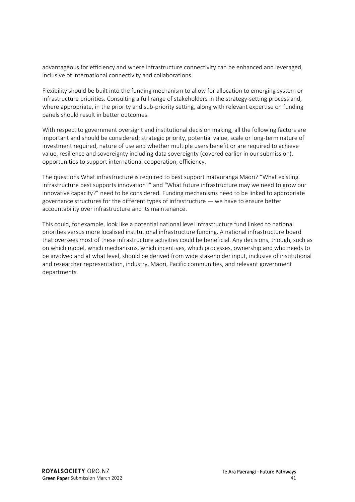advantageous for efficiency and where infrastructure connectivity can be enhanced and leveraged, inclusive of international connectivity and collaborations.

Flexibility should be built into the funding mechanism to allow for allocation to emerging system or infrastructure priorities. Consulting a full range of stakeholders in the strategy-setting process and, where appropriate, in the priority and sub-priority setting, along with relevant expertise on funding panels should result in better outcomes.

With respect to government oversight and institutional decision making, all the following factors are important and should be considered: strategic priority, potential value, scale or long-term nature of investment required, nature of use and whether multiple users benefit or are required to achieve value, resilience and sovereignty including data sovereignty (covered earlier in our submission), opportunities to support international cooperation, efficiency.

The questions What infrastructure is required to best support mātauranga Māori? "What existing infrastructure best supports innovation?" and "What future infrastructure may we need to grow our innovative capacity?" need to be considered. Funding mechanisms need to be linked to appropriate governance structures for the different types of infrastructure — we have to ensure better accountability over infrastructure and its maintenance.

This could, for example, look like a potential national level infrastructure fund linked to national priorities versus more localised institutional infrastructure funding. A national infrastructure board that oversees most of these infrastructure activities could be beneficial. Any decisions, though, such as on which model, which mechanisms, which incentives, which processes, ownership and who needs to be involved and at what level, should be derived from wide stakeholder input, inclusive of institutional and researcher representation, industry, Māori, Pacific communities, and relevant government departments.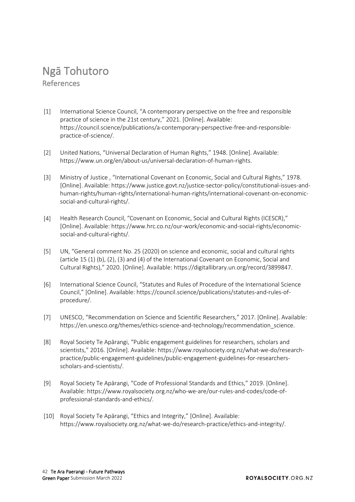# <span id="page-41-0"></span>Ngā Tohutoro References

- [1] International Science Council, "A contemporary perspective on the free and responsible practice of science in the 21st century," 2021. [Online]. Available: https://council.science/publications/a-contemporary-perspective-free-and-responsiblepractice-of-science/.
- [2] United Nations, "Universal Declaration of Human Rights," 1948. [Online]. Available: https://www.un.org/en/about-us/universal-declaration-of-human-rights.
- [3] Ministry of Justice , "International Covenant on Economic, Social and Cultural Rights," 1978. [Online]. Available: https://www.justice.govt.nz/justice-sector-policy/constitutional-issues-andhuman-rights/human-rights/international-human-rights/international-covenant-on-economicsocial-and-cultural-rights/.
- [4] Health Research Council, "Covenant on Economic, Social and Cultural Rights (ICESCR)," [Online]. Available: https://www.hrc.co.nz/our-work/economic-and-social-rights/economicsocial-and-cultural-rights/.
- [5] UN, "General comment No. 25 (2020) on science and economic, social and cultural rights (article 15 (1) (b), (2), (3) and (4) of the International Covenant on Economic, Social and Cultural Rights)," 2020. [Online]. Available: https://digitallibrary.un.org/record/3899847.
- [6] International Science Council, "Statutes and Rules of Procedure of the International Science Council," [Online]. Available: https://council.science/publications/statutes-and-rules-ofprocedure/.
- [7] UNESCO, "Recommendation on Science and Scientific Researchers," 2017. [Online]. Available: https://en.unesco.org/themes/ethics-science-and-technology/recommendation\_science.
- [8] Royal Society Te Apārangi, "Public engagement guidelines for researchers, scholars and scientists," 2016. [Online]. Available: https://www.royalsociety.org.nz/what-we-do/researchpractice/public-engagement-guidelines/public-engagement-guidelines-for-researchersscholars-and-scientists/.
- [9] Royal Society Te Apārangi, "Code of Professional Standards and Ethics," 2019. [Online]. Available: https://www.royalsociety.org.nz/who-we-are/our-rules-and-codes/code-ofprofessional-standards-and-ethics/.
- [10] Royal Society Te Apārangi, "Ethics and Integrity," [Online]. Available: https://www.royalsociety.org.nz/what-we-do/research-practice/ethics-and-integrity/.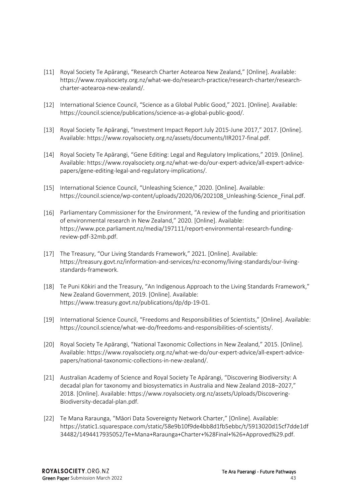- [11] Royal Society Te Apārangi, "Research Charter Aotearoa New Zealand," [Online]. Available: https://www.royalsociety.org.nz/what-we-do/research-practice/research-charter/researchcharter-aotearoa-new-zealand/.
- [12] International Science Council, "Science as a Global Public Good," 2021. [Online]. Available: https://council.science/publications/science-as-a-global-public-good/.
- [13] Royal Society Te Apārangi, "Investment Impact Report July 2015-June 2017," 2017. [Online]. Available: https://www.royalsociety.org.nz/assets/documents/IIR2017-final.pdf.
- [14] Royal Society Te Apārangi, "Gene Editing: Legal and Regulatory Implications," 2019. [Online]. Available: https://www.royalsociety.org.nz/what-we-do/our-expert-advice/all-expert-advicepapers/gene-editing-legal-and-regulatory-implications/.
- [15] International Science Council, "Unleashing Science," 2020. [Online]. Available: https://council.science/wp-content/uploads/2020/06/202108\_Unleashing-Science\_Final.pdf.
- [16] Parliamentary Commissioner for the Environment, "A review of the funding and prioritisation of environmental research in New Zealand," 2020. [Online]. Available: https://www.pce.parliament.nz/media/197111/report-environmental-research-fundingreview-pdf-32mb.pdf.
- [17] The Treasury, "Our Living Standards Framework," 2021. [Online]. Available: https://treasury.govt.nz/information-and-services/nz-economy/living-standards/our-livingstandards-framework.
- [18] Te Puni Kōkiri and the Treasury, "An Indigenous Approach to the Living Standards Framework," New Zealand Government, 2019. [Online]. Available: https://www.treasury.govt.nz/publications/dp/dp-19-01.
- [19] International Science Council, "Freedoms and Responsibilities of Scientists," [Online]. Available: https://council.science/what-we-do/freedoms-and-responsibilities-of-scientists/.
- [20] Royal Society Te Apārangi, "National Taxonomic Collections in New Zealand," 2015. [Online]. Available: https://www.royalsociety.org.nz/what-we-do/our-expert-advice/all-expert-advicepapers/national-taxonomic-collections-in-new-zealand/.
- [21] Australian Academy of Science and Royal Society Te Apārangi, "Discovering Biodiversity: A decadal plan for taxonomy and biosystematics in Australia and New Zealand 2018–2027," 2018. [Online]. Available: https://www.royalsociety.org.nz/assets/Uploads/Discovering-Biodiversity-decadal-plan.pdf.
- [22] Te Mana Raraunga, "Māori Data Sovereignty Network Charter," [Online]. Available: https://static1.squarespace.com/static/58e9b10f9de4bb8d1fb5ebbc/t/5913020d15cf7dde1df 34482/1494417935052/Te+Mana+Raraunga+Charter+%28Final+%26+Approved%29.pdf.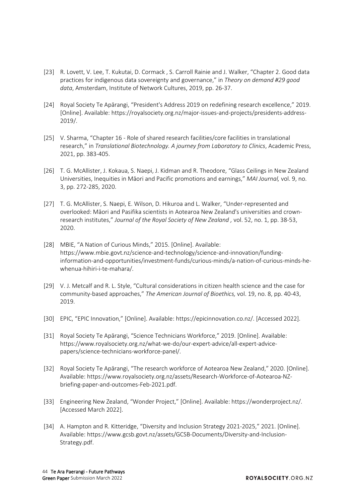- [23] [R. Lovett, V. Lee, T. Kukutai, D. Cormack , S. Carroll Rainie and J. Walker, "Chapter 2. Good data](https://researchcommons.waikato.ac.nz/handle/10289/12919)  practices for indigenous data sovereignty and governance," in *Theory on demand #29 good data*, Amsterdam, Institute of Network Cultures, 2019, pp. 26-37.
- [24] Royal Society Te Apārangi, "President's Address 2019 on redefining research excellence," 2019. [Online]. Available: https://royalsociety.org.nz/major-issues-and-projects/presidents-address-2019/.
- [25] V. Sharma, "Chapter 16 Role of shared research facilities/core facilities in translational research," in *[Translational Biotechnology. A journey from Laboratory to Clinics](https://www.sciencedirect.com/science/article/pii/B9780128219720000083#:~:text=The%20accessibility%20of%20multiple%20expertise,expertise%20to%20advanced%20scientific%20equipment.)*, Academic Press, 2021, pp. 383-405.
- [26] [T. G. McAllister, J. Kokaua, S. Naepi, J. Kidman and R. Theodore, "Glass Ceilings in New Zealand](http://www.journal.mai.ac.nz/content/glass-ceilings-new-zealand-universities-inequities-m%C4%81ori-and-pacific-promotions-and-earnings)  Universities, Inequities in Māori and Pacific promotions and earnings," *MAI Journal,* vol. 9, no. 3, pp. 272-285, 2020.
- [27] T. G. McAllister, S. Naepi, E. Wilson, D. Hikuroa and L. Walker, "Under-represented and [overlooked: Māori and Pasifika scientists in Aotearoa New Zealand's universities and crown](https://www.tandfonline.com/doi/abs/10.1080/03036758.2020.1796103)research institutes," *Journal of the Royal Society of New Zealand ,* vol. 52, no. 1, pp. 38-53, 2020.
- [28] MBIE, "A Nation of Curious Minds," 2015. [Online]. Available: https://www.mbie.govt.nz/science-and-technology/science-and-innovation/fundinginformation-and-opportunities/investment-funds/curious-minds/a-nation-of-curious-minds-hewhenua-hihiri-i-te-mahara/.
- [29] V. J. Metcalf and R. L. Style, ["Cultural considerations in citizen health science and the case for](https://www.tandfonline.com/doi/abs/10.1080/15265161.2019.1619874?journalCode=uajb20)  community-based approaches," *The American Journal of Bioethics,* vol. 19, no. 8, pp. 40-43, 2019.
- [30] EPIC, "EPIC Innovation," [Online]. Available: https://epicinnovation.co.nz/. [Accessed 2022].
- [31] Royal Society Te Apārangi, "Science Technicians Workforce," 2019. [Online]. Available: https://www.royalsociety.org.nz/what-we-do/our-expert-advice/all-expert-advicepapers/science-technicians-workforce-panel/.
- [32] Royal Society Te Apārangi, "The research workforce of Aotearoa New Zealand," 2020. [Online]. Available: https://www.royalsociety.org.nz/assets/Research-Workforce-of-Aotearoa-NZbriefing-paper-and-outcomes-Feb-2021.pdf.
- [33] Engineering New Zealand, "Wonder Project," [Online]. Available: https://wonderproject.nz/. [Accessed March 2022].
- [34] A. Hampton and R. Kitteridge, "Diversity and Inclusion Strategy 2021-2025," 2021. [Online]. Available: https://www.gcsb.govt.nz/assets/GCSB-Documents/Diversity-and-Inclusion-Strategy.pdf.